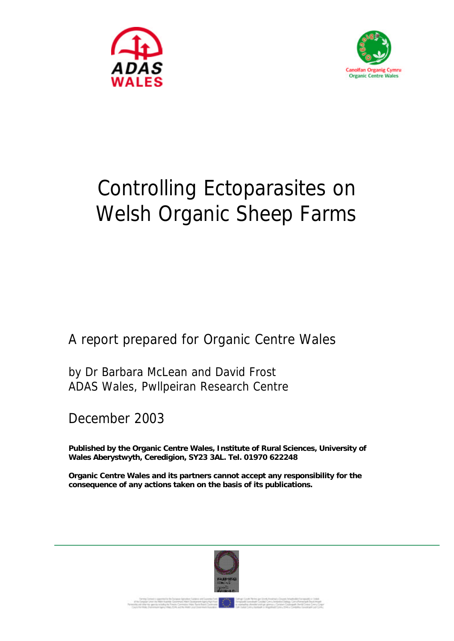



# Controlling Ectoparasites on Welsh Organic Sheep Farms

A report prepared for Organic Centre Wales

by Dr Barbara McLean and David Frost ADAS Wales, Pwllpeiran Research Centre

December 2003

**Published by the Organic Centre Wales, Institute of Rural Sciences, University of Wales Aberystwyth, Ceredigion, SY23 3AL. Tel. 01970 622248**

**Organic Centre Wales and its partners cannot accept any responsibility for the consequence of any actions taken on the basis of its publications.**

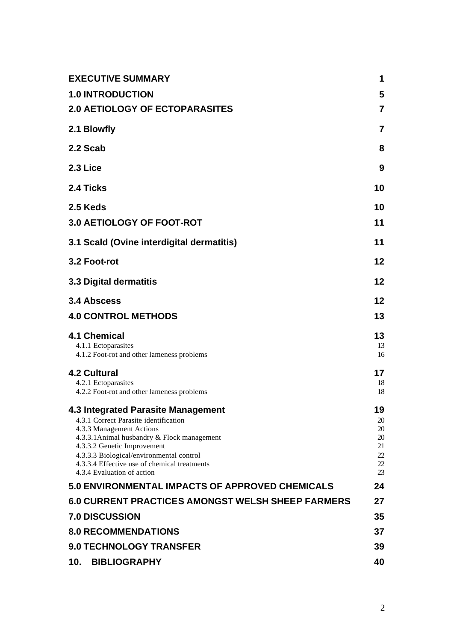| <b>EXECUTIVE SUMMARY</b>                                                                                                                                                                                                                                                                                        | 1                                            |
|-----------------------------------------------------------------------------------------------------------------------------------------------------------------------------------------------------------------------------------------------------------------------------------------------------------------|----------------------------------------------|
| <b>1.0 INTRODUCTION</b>                                                                                                                                                                                                                                                                                         | 5                                            |
| <b>2.0 AETIOLOGY OF ECTOPARASITES</b>                                                                                                                                                                                                                                                                           | $\overline{7}$                               |
| 2.1 Blowfly                                                                                                                                                                                                                                                                                                     | $\overline{7}$                               |
| 2.2 Scab                                                                                                                                                                                                                                                                                                        | 8                                            |
| 2.3 Lice                                                                                                                                                                                                                                                                                                        | 9                                            |
| 2.4 Ticks                                                                                                                                                                                                                                                                                                       | 10                                           |
| 2.5 Keds                                                                                                                                                                                                                                                                                                        | 10                                           |
| 3.0 AETIOLOGY OF FOOT-ROT                                                                                                                                                                                                                                                                                       | 11                                           |
| 3.1 Scald (Ovine interdigital dermatitis)                                                                                                                                                                                                                                                                       | 11                                           |
| 3.2 Foot-rot                                                                                                                                                                                                                                                                                                    | 12                                           |
| <b>3.3 Digital dermatitis</b>                                                                                                                                                                                                                                                                                   | 12                                           |
| 3.4 Abscess                                                                                                                                                                                                                                                                                                     | 12                                           |
| <b>4.0 CONTROL METHODS</b>                                                                                                                                                                                                                                                                                      | 13                                           |
| <b>4.1 Chemical</b><br>4.1.1 Ectoparasites<br>4.1.2 Foot-rot and other lameness problems                                                                                                                                                                                                                        | 13<br>13<br>16                               |
| <b>4.2 Cultural</b><br>4.2.1 Ectoparasites<br>4.2.2 Foot-rot and other lameness problems                                                                                                                                                                                                                        | 17<br>18<br>18                               |
| 4.3 Integrated Parasite Management<br>4.3.1 Correct Parasite identification<br>4.3.3 Management Actions<br>4.3.3.1 Animal husbandry & Flock management<br>4.3.3.2 Genetic Improvement<br>4.3.3.3 Biological/environmental control<br>4.3.3.4 Effective use of chemical treatments<br>4.3.4 Evaluation of action | 19<br>20<br>20<br>20<br>21<br>22<br>22<br>23 |
| 5.0 ENVIRONMENTAL IMPACTS OF APPROVED CHEMICALS                                                                                                                                                                                                                                                                 | 24                                           |
| <b>6.0 CURRENT PRACTICES AMONGST WELSH SHEEP FARMERS</b>                                                                                                                                                                                                                                                        | 27                                           |
| <b>7.0 DISCUSSION</b>                                                                                                                                                                                                                                                                                           | 35                                           |
| <b>8.0 RECOMMENDATIONS</b>                                                                                                                                                                                                                                                                                      | 37                                           |
| <b>9.0 TECHNOLOGY TRANSFER</b>                                                                                                                                                                                                                                                                                  | 39                                           |
| <b>BIBLIOGRAPHY</b><br>10.                                                                                                                                                                                                                                                                                      | 40                                           |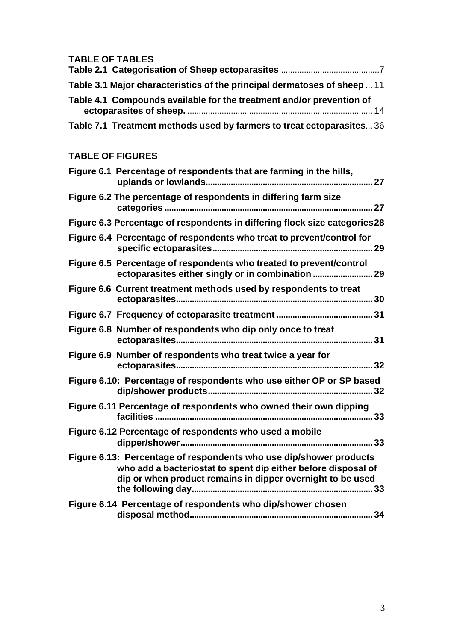# **TABLE OF TABLES**

| Table 3.1 Major characteristics of the principal dermatoses of sheep  11 |  |
|--------------------------------------------------------------------------|--|
| Table 4.1 Compounds available for the treatment and/or prevention of     |  |
| Table 7.1 Treatment methods used by farmers to treat ectoparasites 36    |  |

# **TABLE OF FIGURES**

| Figure 6.1 Percentage of respondents that are farming in the hills,                                                                                                                                     |  |
|---------------------------------------------------------------------------------------------------------------------------------------------------------------------------------------------------------|--|
| Figure 6.2 The percentage of respondents in differing farm size                                                                                                                                         |  |
| Figure 6.3 Percentage of respondents in differing flock size categories 28                                                                                                                              |  |
| Figure 6.4 Percentage of respondents who treat to prevent/control for                                                                                                                                   |  |
| Figure 6.5 Percentage of respondents who treated to prevent/control<br>ectoparasites either singly or in combination  29                                                                                |  |
| Figure 6.6 Current treatment methods used by respondents to treat                                                                                                                                       |  |
|                                                                                                                                                                                                         |  |
| Figure 6.8 Number of respondents who dip only once to treat                                                                                                                                             |  |
| Figure 6.9 Number of respondents who treat twice a year for<br>32                                                                                                                                       |  |
| Figure 6.10: Percentage of respondents who use either OP or SP based                                                                                                                                    |  |
| Figure 6.11 Percentage of respondents who owned their own dipping                                                                                                                                       |  |
| Figure 6.12 Percentage of respondents who used a mobile<br>33                                                                                                                                           |  |
| Figure 6.13: Percentage of respondents who use dip/shower products<br>who add a bacteriostat to spent dip either before disposal of<br>dip or when product remains in dipper overnight to be used<br>33 |  |
| Figure 6.14 Percentage of respondents who dip/shower chosen<br>34                                                                                                                                       |  |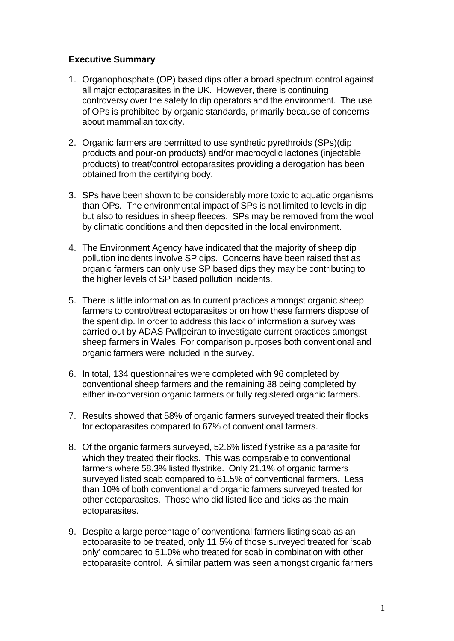## **Executive Summary**

- 1. Organophosphate (OP) based dips offer a broad spectrum control against all major ectoparasites in the UK. However, there is continuing controversy over the safety to dip operators and the environment. The use of OPs is prohibited by organic standards, primarily because of concerns about mammalian toxicity.
- 2. Organic farmers are permitted to use synthetic pyrethroids (SPs)(dip products and pour-on products) and/or macrocyclic lactones (injectable products) to treat/control ectoparasites providing a derogation has been obtained from the certifying body.
- 3. SPs have been shown to be considerably more toxic to aquatic organisms than OPs. The environmental impact of SPs is not limited to levels in dip but also to residues in sheep fleeces. SPs may be removed from the wool by climatic conditions and then deposited in the local environment.
- 4. The Environment Agency have indicated that the majority of sheep dip pollution incidents involve SP dips. Concerns have been raised that as organic farmers can only use SP based dips they may be contributing to the higher levels of SP based pollution incidents.
- 5. There is little information as to current practices amongst organic sheep farmers to control/treat ectoparasites or on how these farmers dispose of the spent dip. In order to address this lack of information a survey was carried out by ADAS Pwllpeiran to investigate current practices amongst sheep farmers in Wales. For comparison purposes both conventional and organic farmers were included in the survey.
- 6. In total, 134 questionnaires were completed with 96 completed by conventional sheep farmers and the remaining 38 being completed by either in-conversion organic farmers or fully registered organic farmers.
- 7. Results showed that 58% of organic farmers surveyed treated their flocks for ectoparasites compared to 67% of conventional farmers.
- 8. Of the organic farmers surveyed, 52.6% listed flystrike as a parasite for which they treated their flocks. This was comparable to conventional farmers where 58.3% listed flystrike. Only 21.1% of organic farmers surveyed listed scab compared to 61.5% of conventional farmers. Less than 10% of both conventional and organic farmers surveyed treated for other ectoparasites. Those who did listed lice and ticks as the main ectoparasites.
- 9. Despite a large percentage of conventional farmers listing scab as an ectoparasite to be treated, only 11.5% of those surveyed treated for 'scab only' compared to 51.0% who treated for scab in combination with other ectoparasite control. A similar pattern was seen amongst organic farmers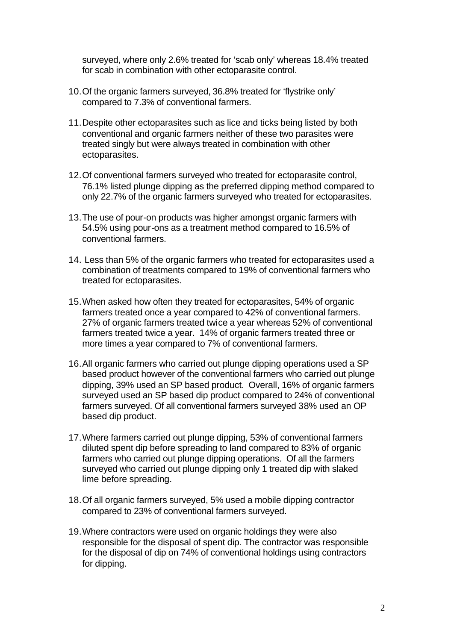surveyed, where only 2.6% treated for 'scab only' whereas 18.4% treated for scab in combination with other ectoparasite control.

- 10.Of the organic farmers surveyed, 36.8% treated for 'flystrike only' compared to 7.3% of conventional farmers.
- 11.Despite other ectoparasites such as lice and ticks being listed by both conventional and organic farmers neither of these two parasites were treated singly but were always treated in combination with other ectoparasites.
- 12.Of conventional farmers surveyed who treated for ectoparasite control, 76.1% listed plunge dipping as the preferred dipping method compared to only 22.7% of the organic farmers surveyed who treated for ectoparasites.
- 13.The use of pour-on products was higher amongst organic farmers with 54.5% using pour-ons as a treatment method compared to 16.5% of conventional farmers.
- 14. Less than 5% of the organic farmers who treated for ectoparasites used a combination of treatments compared to 19% of conventional farmers who treated for ectoparasites.
- 15.When asked how often they treated for ectoparasites, 54% of organic farmers treated once a year compared to 42% of conventional farmers. 27% of organic farmers treated twice a year whereas 52% of conventional farmers treated twice a year. 14% of organic farmers treated three or more times a year compared to 7% of conventional farmers.
- 16.All organic farmers who carried out plunge dipping operations used a SP based product however of the conventional farmers who carried out plunge dipping, 39% used an SP based product. Overall, 16% of organic farmers surveyed used an SP based dip product compared to 24% of conventional farmers surveyed. Of all conventional farmers surveyed 38% used an OP based dip product.
- 17.Where farmers carried out plunge dipping, 53% of conventional farmers diluted spent dip before spreading to land compared to 83% of organic farmers who carried out plunge dipping operations. Of all the farmers surveyed who carried out plunge dipping only 1 treated dip with slaked lime before spreading.
- 18.Of all organic farmers surveyed, 5% used a mobile dipping contractor compared to 23% of conventional farmers surveyed.
- 19.Where contractors were used on organic holdings they were also responsible for the disposal of spent dip. The contractor was responsible for the disposal of dip on 74% of conventional holdings using contractors for dipping.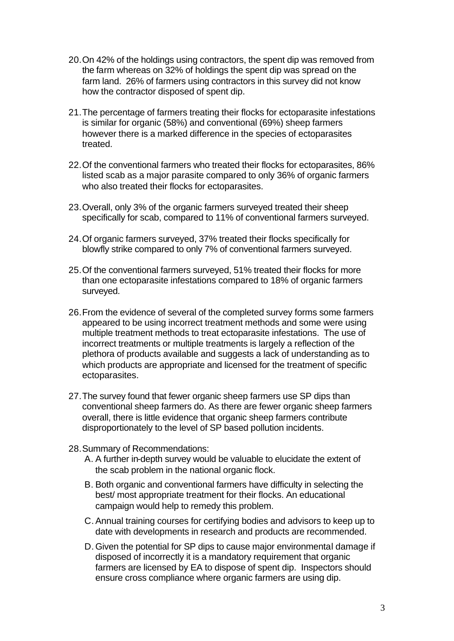- 20.On 42% of the holdings using contractors, the spent dip was removed from the farm whereas on 32% of holdings the spent dip was spread on the farm land. 26% of farmers using contractors in this survey did not know how the contractor disposed of spent dip.
- 21.The percentage of farmers treating their flocks for ectoparasite infestations is similar for organic (58%) and conventional (69%) sheep farmers however there is a marked difference in the species of ectoparasites treated.
- 22.Of the conventional farmers who treated their flocks for ectoparasites, 86% listed scab as a major parasite compared to only 36% of organic farmers who also treated their flocks for ectoparasites.
- 23.Overall, only 3% of the organic farmers surveyed treated their sheep specifically for scab, compared to 11% of conventional farmers surveyed.
- 24.Of organic farmers surveyed, 37% treated their flocks specifically for blowfly strike compared to only 7% of conventional farmers surveyed.
- 25.Of the conventional farmers surveyed, 51% treated their flocks for more than one ectoparasite infestations compared to 18% of organic farmers surveyed.
- 26.From the evidence of several of the completed survey forms some farmers appeared to be using incorrect treatment methods and some were using multiple treatment methods to treat ectoparasite infestations. The use of incorrect treatments or multiple treatments is largely a reflection of the plethora of products available and suggests a lack of understanding as to which products are appropriate and licensed for the treatment of specific ectoparasites.
- 27.The survey found that fewer organic sheep farmers use SP dips than conventional sheep farmers do. As there are fewer organic sheep farmers overall, there is little evidence that organic sheep farmers contribute disproportionately to the level of SP based pollution incidents.
- 28.Summary of Recommendations:
	- A. A further in-depth survey would be valuable to elucidate the extent of the scab problem in the national organic flock.
	- B. Both organic and conventional farmers have difficulty in selecting the best/ most appropriate treatment for their flocks. An educational campaign would help to remedy this problem.
	- C.Annual training courses for certifying bodies and advisors to keep up to date with developments in research and products are recommended.
	- D. Given the potential for SP dips to cause major environmental damage if disposed of incorrectly it is a mandatory requirement that organic farmers are licensed by EA to dispose of spent dip. Inspectors should ensure cross compliance where organic farmers are using dip.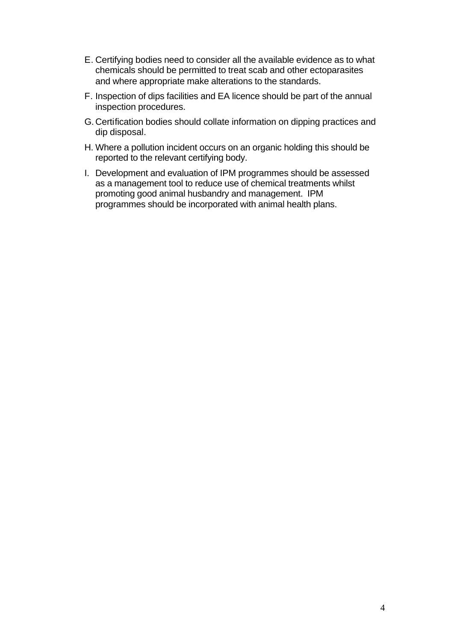- E. Certifying bodies need to consider all the available evidence as to what chemicals should be permitted to treat scab and other ectoparasites and where appropriate make alterations to the standards.
- F. Inspection of dips facilities and EA licence should be part of the annual inspection procedures.
- G. Certification bodies should collate information on dipping practices and dip disposal.
- H. Where a pollution incident occurs on an organic holding this should be reported to the relevant certifying body.
- I. Development and evaluation of IPM programmes should be assessed as a management tool to reduce use of chemical treatments whilst promoting good animal husbandry and management. IPM programmes should be incorporated with animal health plans.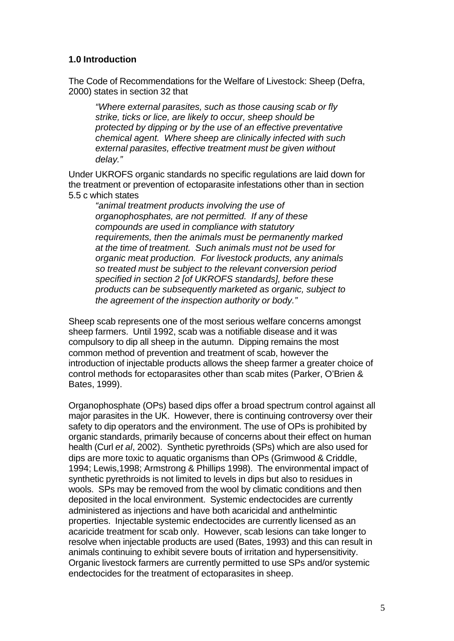## **1.0 Introduction**

The Code of Recommendations for the Welfare of Livestock: Sheep (Defra, 2000) states in section 32 that

*"Where external parasites, such as those causing scab or fly strike, ticks or lice, are likely to occur, sheep should be protected by dipping or by the use of an effective preventative chemical agent. Where sheep are clinically infected with such external parasites, effective treatment must be given without delay."*

Under UKROFS organic standards no specific regulations are laid down for the treatment or prevention of ectoparasite infestations other than in section 5.5 c which states

*"animal treatment products involving the use of organophosphates, are not permitted. If any of these compounds are used in compliance with statutory requirements, then the animals must be permanently marked at the time of treatment. Such animals must not be used for organic meat production. For livestock products, any animals so treated must be subject to the relevant conversion period specified in section 2 [of UKROFS standards], before these products can be subsequently marketed as organic, subject to the agreement of the inspection authority or body."*

Sheep scab represents one of the most serious welfare concerns amongst sheep farmers. Until 1992, scab was a notifiable disease and it was compulsory to dip all sheep in the autumn. Dipping remains the most common method of prevention and treatment of scab, however the introduction of injectable products allows the sheep farmer a greater choice of control methods for ectoparasites other than scab mites (Parker, O'Brien & Bates, 1999).

Organophosphate (OPs) based dips offer a broad spectrum control against all major parasites in the UK. However, there is continuing controversy over their safety to dip operators and the environment. The use of OPs is prohibited by organic standards, primarily because of concerns about their effect on human health (Curl *et al*, 2002). Synthetic pyrethroids (SPs) which are also used for dips are more toxic to aquatic organisms than OPs (Grimwood & Criddle, 1994; Lewis,1998; Armstrong & Phillips 1998). The environmental impact of synthetic pyrethroids is not limited to levels in dips but also to residues in wools. SPs may be removed from the wool by climatic conditions and then deposited in the local environment. Systemic endectocides are currently administered as injections and have both acaricidal and anthelmintic properties. Injectable systemic endectocides are currently licensed as an acaricide treatment for scab only. However, scab lesions can take longer to resolve when injectable products are used (Bates, 1993) and this can result in animals continuing to exhibit severe bouts of irritation and hypersensitivity. Organic livestock farmers are currently permitted to use SPs and/or systemic endectocides for the treatment of ectoparasites in sheep.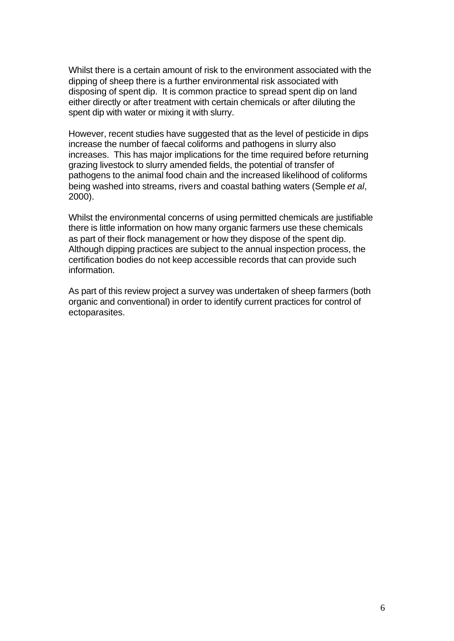Whilst there is a certain amount of risk to the environment associated with the dipping of sheep there is a further environmental risk associated with disposing of spent dip. It is common practice to spread spent dip on land either directly or after treatment with certain chemicals or after diluting the spent dip with water or mixing it with slurry.

However, recent studies have suggested that as the level of pesticide in dips increase the number of faecal coliforms and pathogens in slurry also increases. This has major implications for the time required before returning grazing livestock to slurry amended fields, the potential of transfer of pathogens to the animal food chain and the increased likelihood of coliforms being washed into streams, rivers and coastal bathing waters (Semple *et al*, 2000).

Whilst the environmental concerns of using permitted chemicals are justifiable there is little information on how many organic farmers use these chemicals as part of their flock management or how they dispose of the spent dip. Although dipping practices are subject to the annual inspection process, the certification bodies do not keep accessible records that can provide such information.

As part of this review project a survey was undertaken of sheep farmers (both organic and conventional) in order to identify current practices for control of ectoparasites.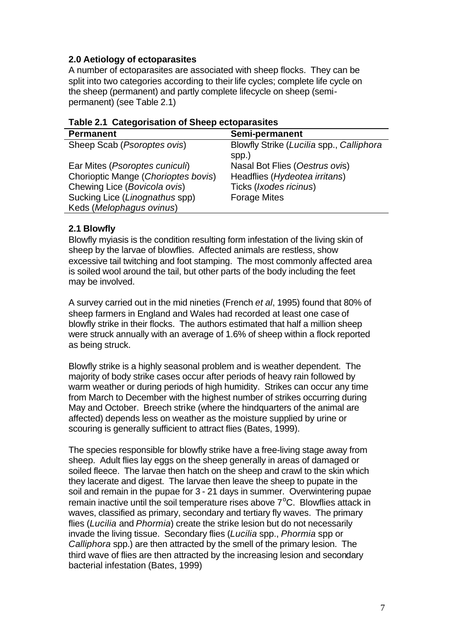# **2.0 Aetiology of ectoparasites**

A number of ectoparasites are associated with sheep flocks. They can be split into two categories according to their life cycles; complete life cycle on the sheep (permanent) and partly complete lifecycle on sheep (semipermanent) (see Table 2.1)

| <b>Permanent</b>                     | Semi-permanent                           |
|--------------------------------------|------------------------------------------|
| Sheep Scab ( <i>Psoroptes ovis</i> ) | Blowfly Strike (Lucilia spp., Calliphora |
|                                      | spp.)                                    |
| Ear Mites (Psoroptes cuniculi)       | Nasal Bot Flies (Oestrus ovis)           |
| Chorioptic Mange (Chorioptes bovis)  | Headflies (Hydeotea irritans)            |
| Chewing Lice (Bovicola ovis)         | Ticks (Ixodes ricinus)                   |
| Sucking Lice (Linognathus spp)       | <b>Forage Mites</b>                      |
| Keds (Melophagus ovinus)             |                                          |

#### **Table 2.1 Categorisation of Sheep ectoparasites**

## **2.1 Blowfly**

Blowfly myiasis is the condition resulting form infestation of the living skin of sheep by the larvae of blowflies. Affected animals are restless, show excessive tail twitching and foot stamping. The most commonly affected area is soiled wool around the tail, but other parts of the body including the feet may be involved.

A survey carried out in the mid nineties (French *et al*, 1995) found that 80% of sheep farmers in England and Wales had recorded at least one case of blowfly strike in their flocks. The authors estimated that half a million sheep were struck annually with an average of 1.6% of sheep within a flock reported as being struck.

Blowfly strike is a highly seasonal problem and is weather dependent. The majority of body strike cases occur after periods of heavy rain followed by warm weather or during periods of high humidity. Strikes can occur any time from March to December with the highest number of strikes occurring during May and October. Breech strike (where the hindquarters of the animal are affected) depends less on weather as the moisture supplied by urine or scouring is generally sufficient to attract flies (Bates, 1999).

The species responsible for blowfly strike have a free-living stage away from sheep. Adult flies lay eggs on the sheep generally in areas of damaged or soiled fleece. The larvae then hatch on the sheep and crawl to the skin which they lacerate and digest. The larvae then leave the sheep to pupate in the soil and remain in the pupae for 3 - 21 days in summer. Overwintering pupae remain inactive until the soil temperature rises above  $7^{\circ}$ C. Blowflies attack in waves, classified as primary, secondary and tertiary fly waves. The primary flies (*Lucilia* and *Phormia*) create the strike lesion but do not necessarily invade the living tissue. Secondary flies (*Lucilia* spp., *Phormia* spp or *Calliphora* spp.) are then attracted by the smell of the primary lesion. The third wave of flies are then attracted by the increasing lesion and secondary bacterial infestation (Bates, 1999)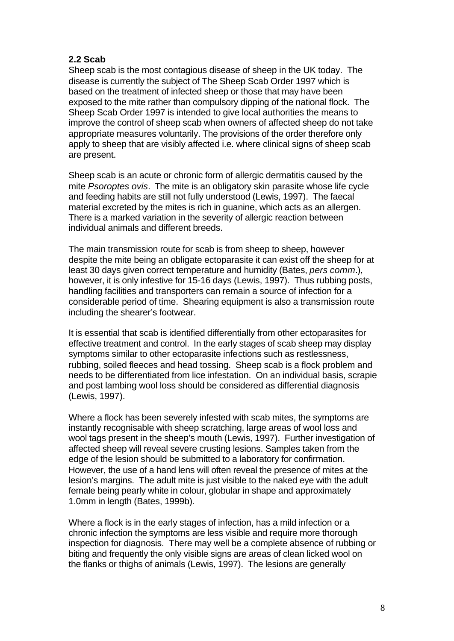## **2.2 Scab**

Sheep scab is the most contagious disease of sheep in the UK today. The disease is currently the subject of The Sheep Scab Order 1997 which is based on the treatment of infected sheep or those that may have been exposed to the mite rather than compulsory dipping of the national flock. The Sheep Scab Order 1997 is intended to give local authorities the means to improve the control of sheep scab when owners of affected sheep do not take appropriate measures voluntarily. The provisions of the order therefore only apply to sheep that are visibly affected i.e. where clinical signs of sheep scab are present.

Sheep scab is an acute or chronic form of allergic dermatitis caused by the mite *Psoroptes ovis*. The mite is an obligatory skin parasite whose life cycle and feeding habits are still not fully understood (Lewis, 1997). The faecal material excreted by the mites is rich in guanine, which acts as an allergen. There is a marked variation in the severity of allergic reaction between individual animals and different breeds.

The main transmission route for scab is from sheep to sheep, however despite the mite being an obligate ectoparasite it can exist off the sheep for at least 30 days given correct temperature and humidity (Bates, *pers comm*.), however, it is only infestive for 15-16 days (Lewis, 1997). Thus rubbing posts, handling facilities and transporters can remain a source of infection for a considerable period of time. Shearing equipment is also a transmission route including the shearer's footwear.

It is essential that scab is identified differentially from other ectoparasites for effective treatment and control. In the early stages of scab sheep may display symptoms similar to other ectoparasite infections such as restlessness, rubbing, soiled fleeces and head tossing. Sheep scab is a flock problem and needs to be differentiated from lice infestation. On an individual basis, scrapie and post lambing wool loss should be considered as differential diagnosis (Lewis, 1997).

Where a flock has been severely infested with scab mites, the symptoms are instantly recognisable with sheep scratching, large areas of wool loss and wool tags present in the sheep's mouth (Lewis, 1997). Further investigation of affected sheep will reveal severe crusting lesions. Samples taken from the edge of the lesion should be submitted to a laboratory for confirmation. However, the use of a hand lens will often reveal the presence of mites at the lesion's margins. The adult mite is just visible to the naked eye with the adult female being pearly white in colour, globular in shape and approximately 1.0mm in length (Bates, 1999b).

Where a flock is in the early stages of infection, has a mild infection or a chronic infection the symptoms are less visible and require more thorough inspection for diagnosis. There may well be a complete absence of rubbing or biting and frequently the only visible signs are areas of clean licked wool on the flanks or thighs of animals (Lewis, 1997). The lesions are generally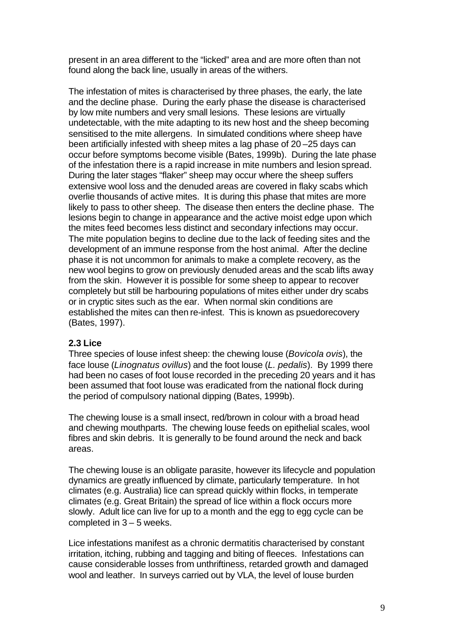present in an area different to the "licked" area and are more often than not found along the back line, usually in areas of the withers.

The infestation of mites is characterised by three phases, the early, the late and the decline phase. During the early phase the disease is characterised by low mite numbers and very small lesions. These lesions are virtually undetectable, with the mite adapting to its new host and the sheep becoming sensitised to the mite allergens. In simulated conditions where sheep have been artificially infested with sheep mites a lag phase of 20 –25 days can occur before symptoms become visible (Bates, 1999b). During the late phase of the infestation there is a rapid increase in mite numbers and lesion spread. During the later stages "flaker" sheep may occur where the sheep suffers extensive wool loss and the denuded areas are covered in flaky scabs which overlie thousands of active mites. It is during this phase that mites are more likely to pass to other sheep. The disease then enters the decline phase. The lesions begin to change in appearance and the active moist edge upon which the mites feed becomes less distinct and secondary infections may occur. The mite population begins to decline due to the lack of feeding sites and the development of an immune response from the host animal. After the decline phase it is not uncommon for animals to make a complete recovery, as the new wool begins to grow on previously denuded areas and the scab lifts away from the skin. However it is possible for some sheep to appear to recover completely but still be harbouring populations of mites either under dry scabs or in cryptic sites such as the ear. When normal skin conditions are established the mites can then re-infest. This is known as psuedorecovery (Bates, 1997).

## **2.3 Lice**

Three species of louse infest sheep: the chewing louse (*Bovicola ovis*), the face louse (*Linognatus ovillus*) and the foot louse (*L. pedalis*). By 1999 there had been no cases of foot louse recorded in the preceding 20 years and it has been assumed that foot louse was eradicated from the national flock during the period of compulsory national dipping (Bates, 1999b).

The chewing louse is a small insect, red/brown in colour with a broad head and chewing mouthparts. The chewing louse feeds on epithelial scales, wool fibres and skin debris. It is generally to be found around the neck and back areas.

The chewing louse is an obligate parasite, however its lifecycle and population dynamics are greatly influenced by climate, particularly temperature. In hot climates (e.g. Australia) lice can spread quickly within flocks, in temperate climates (e.g. Great Britain) the spread of lice within a flock occurs more slowly. Adult lice can live for up to a month and the egg to egg cycle can be completed in 3 – 5 weeks.

Lice infestations manifest as a chronic dermatitis characterised by constant irritation, itching, rubbing and tagging and biting of fleeces. Infestations can cause considerable losses from unthriftiness, retarded growth and damaged wool and leather. In surveys carried out by VLA, the level of louse burden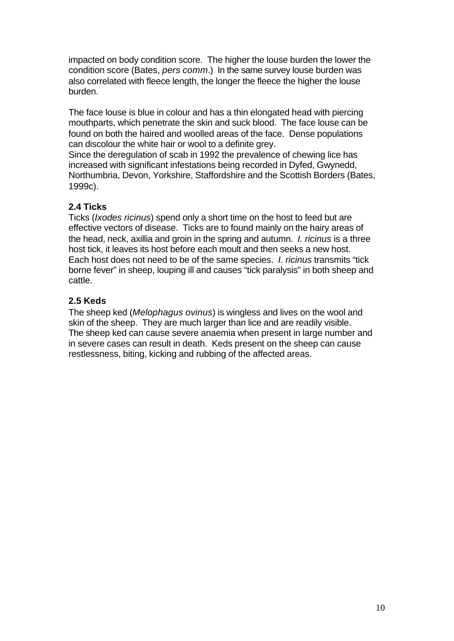impacted on body condition score. The higher the louse burden the lower the condition score (Bates, *pers comm*.) In the same survey louse burden was also correlated with fleece length, the longer the fleece the higher the louse burden.

The face louse is blue in colour and has a thin elongated head with piercing mouthparts, which penetrate the skin and suck blood. The face louse can be found on both the haired and woolled areas of the face. Dense populations can discolour the white hair or wool to a definite grey.

Since the deregulation of scab in 1992 the prevalence of chewing lice has increased with significant infestations being recorded in Dyfed, Gwynedd, Northumbria, Devon, Yorkshire, Staffordshire and the Scottish Borders (Bates, 1999c).

# **2.4 Ticks**

Ticks (*Ixodes ricinus*) spend only a short time on the host to feed but are effective vectors of disease. Ticks are to found mainly on the hairy areas of the head, neck, axillia and groin in the spring and autumn. *I. ricinus* is a three host tick, it leaves its host before each moult and then seeks a new host. Each host does not need to be of the same species. *I. ricinus* transmits "tick borne fever" in sheep, louping ill and causes "tick paralysis" in both sheep and cattle.

# **2.5 Keds**

The sheep ked (*Melophagus ovinus*) is wingless and lives on the wool and skin of the sheep. They are much larger than lice and are readily visible. The sheep ked can cause severe anaemia when present in large number and in severe cases can result in death. Keds present on the sheep can cause restlessness, biting, kicking and rubbing of the affected areas.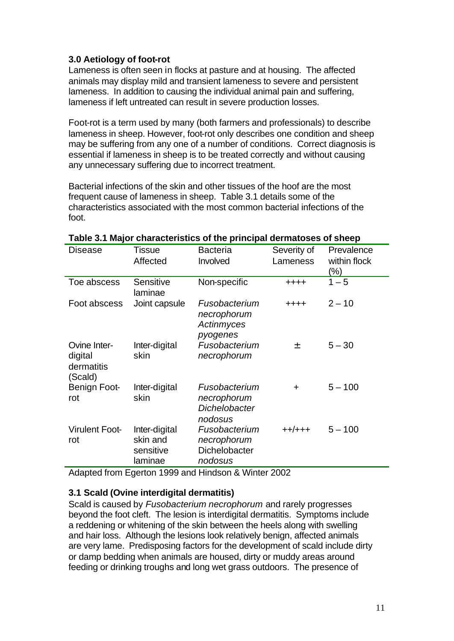# **3.0 Aetiology of foot-rot**

Lameness is often seen in flocks at pasture and at housing. The affected animals may display mild and transient lameness to severe and persistent lameness. In addition to causing the individual animal pain and suffering, lameness if left untreated can result in severe production losses.

Foot-rot is a term used by many (both farmers and professionals) to describe lameness in sheep. However, foot-rot only describes one condition and sheep may be suffering from any one of a number of conditions. Correct diagnosis is essential if lameness in sheep is to be treated correctly and without causing any unnecessary suffering due to incorrect treatment.

Bacterial infections of the skin and other tissues of the hoof are the most frequent cause of lameness in sheep. Table 3.1 details some of the characteristics associated with the most common bacterial infections of the foot.

| <b>Disease</b>                                   | Tissue<br>Affected                                | <b>Bacteria</b><br>Involved                              | Severity of<br>Lameness | Prevalence<br>within flock<br>(%) |
|--------------------------------------------------|---------------------------------------------------|----------------------------------------------------------|-------------------------|-----------------------------------|
| Toe abscess                                      | Sensitive<br>laminae                              | Non-specific                                             | $+ + + +$               | $1 - 5$                           |
| Foot abscess                                     | Joint capsule                                     | Fusobacterium<br>necrophorum<br>Actinmyces<br>pyogenes   | $+ + + +$               | $2 - 10$                          |
| Ovine Inter-<br>digital<br>dermatitis<br>(Scald) | Inter-digital<br>skin                             | Fusobacterium<br>necrophorum                             | 土                       | $5 - 30$                          |
| Benign Foot-<br>rot                              | Inter-digital<br>skin                             | Fusobacterium<br>necrophorum<br>Dichelobacter<br>nodosus | $\ddot{}$               | $5 - 100$                         |
| <b>Virulent Foot-</b><br>rot                     | Inter-digital<br>skin and<br>sensitive<br>laminae | Fusobacterium<br>necrophorum<br>Dichelobacter<br>nodosus | $+ +/ + + +$            | $5 - 100$                         |

## **Table 3.1 Major characteristics of the principal dermatoses of sheep**

Adapted from Egerton 1999 and Hindson & Winter 2002

## **3.1 Scald (Ovine interdigital dermatitis)**

Scald is caused by *Fusobacterium necrophorum* and rarely progresses beyond the foot cleft. The lesion is interdigital dermatitis. Symptoms include a reddening or whitening of the skin between the heels along with swelling and hair loss. Although the lesions look relatively benign, affected animals are very lame. Predisposing factors for the development of scald include dirty or damp bedding when animals are housed, dirty or muddy areas around feeding or drinking troughs and long wet grass outdoors. The presence of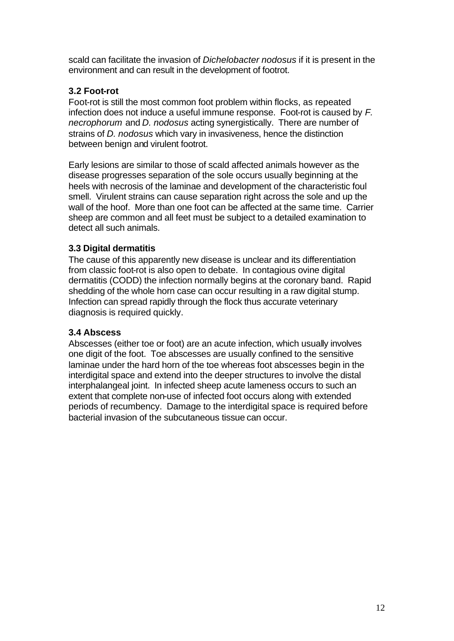scald can facilitate the invasion of *Dichelobacter nodosus* if it is present in the environment and can result in the development of footrot.

# **3.2 Foot-rot**

Foot-rot is still the most common foot problem within flocks, as repeated infection does not induce a useful immune response. Foot-rot is caused by *F. necrophorum* and *D. nodosus* acting synergistically. There are number of strains of *D. nodosus* which vary in invasiveness, hence the distinction between benign and virulent footrot.

Early lesions are similar to those of scald affected animals however as the disease progresses separation of the sole occurs usually beginning at the heels with necrosis of the laminae and development of the characteristic foul smell. Virulent strains can cause separation right across the sole and up the wall of the hoof. More than one foot can be affected at the same time. Carrier sheep are common and all feet must be subject to a detailed examination to detect all such animals.

# **3.3 Digital dermatitis**

The cause of this apparently new disease is unclear and its differentiation from classic foot-rot is also open to debate. In contagious ovine digital dermatitis (CODD) the infection normally begins at the coronary band. Rapid shedding of the whole horn case can occur resulting in a raw digital stump. Infection can spread rapidly through the flock thus accurate veterinary diagnosis is required quickly.

# **3.4 Abscess**

Abscesses (either toe or foot) are an acute infection, which usually involves one digit of the foot. Toe abscesses are usually confined to the sensitive laminae under the hard horn of the toe whereas foot abscesses begin in the interdigital space and extend into the deeper structures to involve the distal interphalangeal joint. In infected sheep acute lameness occurs to such an extent that complete non-use of infected foot occurs along with extended periods of recumbency. Damage to the interdigital space is required before bacterial invasion of the subcutaneous tissue can occur.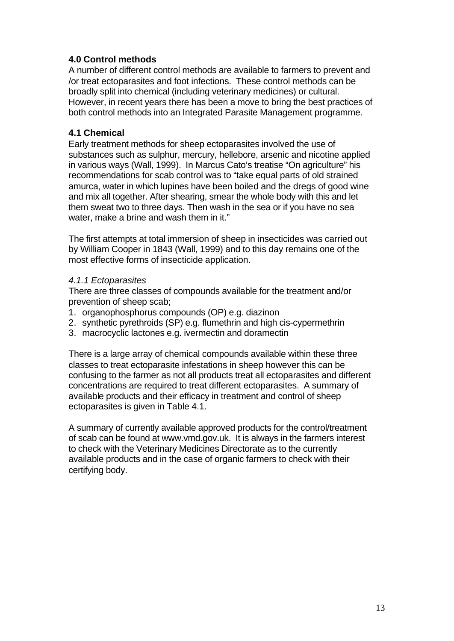# **4.0 Control methods**

A number of different control methods are available to farmers to prevent and /or treat ectoparasites and foot infections. These control methods can be broadly split into chemical (including veterinary medicines) or cultural. However, in recent years there has been a move to bring the best practices of both control methods into an Integrated Parasite Management programme.

# **4.1 Chemical**

Early treatment methods for sheep ectoparasites involved the use of substances such as sulphur, mercury, hellebore, arsenic and nicotine applied in various ways (Wall, 1999). In Marcus Cato's treatise "On agriculture" his recommendations for scab control was to "take equal parts of old strained amurca, water in which lupines have been boiled and the dregs of good wine and mix all together. After shearing, smear the whole body with this and let them sweat two to three days. Then wash in the sea or if you have no sea water, make a brine and wash them in it."

The first attempts at total immersion of sheep in insecticides was carried out by William Cooper in 1843 (Wall, 1999) and to this day remains one of the most effective forms of insecticide application.

## *4.1.1 Ectoparasites*

There are three classes of compounds available for the treatment and/or prevention of sheep scab;

- 1. organophosphorus compounds (OP) e.g. diazinon
- 2. synthetic pyrethroids (SP) e.g. flumethrin and high cis-cypermethrin
- 3. macrocyclic lactones e.g. ivermectin and doramectin

There is a large array of chemical compounds available within these three classes to treat ectoparasite infestations in sheep however this can be confusing to the farmer as not all products treat all ectoparasites and different concentrations are required to treat different ectoparasites. A summary of available products and their efficacy in treatment and control of sheep ectoparasites is given in Table 4.1.

A summary of currently available approved products for the control/treatment of scab can be found at www.vmd.gov.uk. It is always in the farmers interest to check with the Veterinary Medicines Directorate as to the currently available products and in the case of organic farmers to check with their certifying body.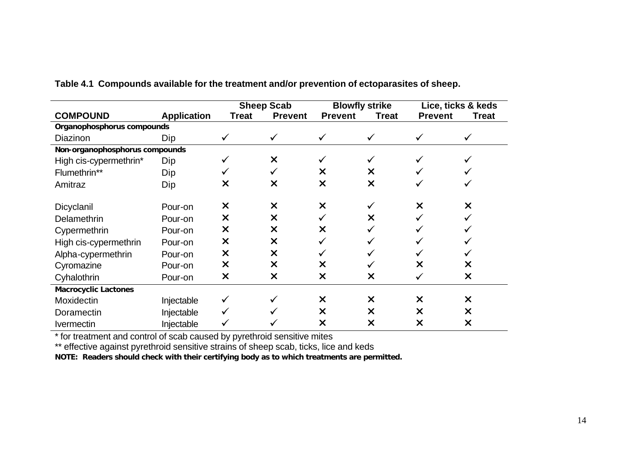|                                |                    | <b>Sheep Scab</b> |                           | <b>Blowfly strike</b>     |                           | Lice, ticks & keds |                           |
|--------------------------------|--------------------|-------------------|---------------------------|---------------------------|---------------------------|--------------------|---------------------------|
| <b>COMPOUND</b>                | <b>Application</b> | <b>Treat</b>      | <b>Prevent</b>            | <b>Prevent</b>            | <b>Treat</b>              | <b>Prevent</b>     | <b>Treat</b>              |
| Organophosphorus compounds     |                    |                   |                           |                           |                           |                    |                           |
| Diazinon                       | Dip                | ✓                 | $\checkmark$              |                           |                           |                    |                           |
| Non-organophosphorus compounds |                    |                   |                           |                           |                           |                    |                           |
| High cis-cypermethrin*         | Dip                |                   | $\times$                  |                           |                           |                    |                           |
| Flumethrin**                   | Dip                |                   |                           | X                         | X                         |                    |                           |
| Amitraz                        | Dip                | X                 | $\boldsymbol{\mathsf{x}}$ | X                         | $\boldsymbol{\mathsf{x}}$ |                    |                           |
|                                |                    |                   |                           |                           |                           |                    |                           |
| Dicyclanil                     | Pour-on            | $\times$          | $\times$                  | $\boldsymbol{\mathsf{x}}$ |                           | X                  | X                         |
| Delamethrin                    | Pour-on            | X                 | $\times$                  |                           | X                         |                    |                           |
| Cypermethrin                   | Pour-on            | $\times$          | $\times$                  | X                         |                           |                    |                           |
| High cis-cypermethrin          | Pour-on            | X                 | $\times$                  |                           |                           |                    |                           |
| Alpha-cypermethrin             | Pour-on            | $\times$          | $\times$                  |                           |                           |                    |                           |
| Cyromazine                     | Pour-on            | $\times$          | $\boldsymbol{\mathsf{x}}$ | X                         |                           | X                  | X                         |
| Cyhalothrin                    | Pour-on            | $\times$          | $\times$                  | X                         | X                         |                    | X                         |
| <b>Macrocyclic Lactones</b>    |                    |                   |                           |                           |                           |                    |                           |
| Moxidectin                     | Injectable         |                   |                           | $\boldsymbol{\mathsf{x}}$ | X                         | X                  | X                         |
| Doramectin                     | Injectable         |                   |                           | X                         | ×                         | X                  | $\boldsymbol{\mathsf{x}}$ |
| <b>Ivermectin</b>              | Injectable         |                   |                           | X                         | ×                         | X                  | X                         |

**Table 4.1 Compounds available for the treatment and/or prevention of ectoparasites of sheep.**

\* for treatment and control of scab caused by pyrethroid sensitive mites

\*\* effective against pyrethroid sensitive strains of sheep scab, ticks, lice and keds

**NOTE: Readers should check with their certifying body as to which treatments are permitted.**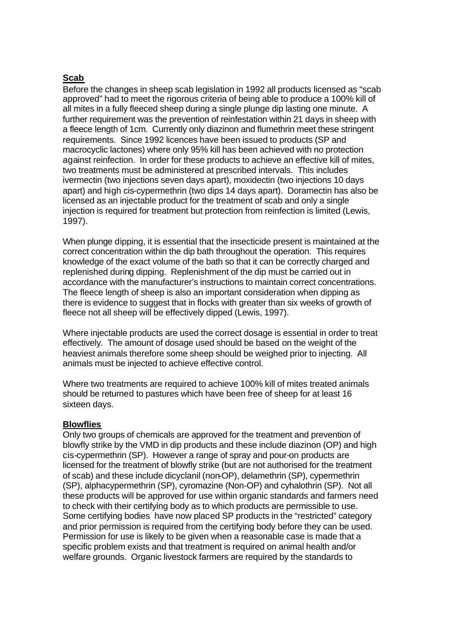## **Scab**

Before the changes in sheep scab legislation in 1992 all products licensed as "scab approved" had to meet the rigorous criteria of being able to produce a 100% kill of all mites in a fully fleeced sheep during a single plunge dip lasting one minute. A further requirement was the prevention of reinfestation within 21 days in sheep with a fleece length of 1cm. Currently only diazinon and flumethrin meet these stringent requirements. Since 1992 licences have been issued to products (SP and macrocyclic lactones) where only 95% kill has been achieved with no protection against reinfection. In order for these products to achieve an effective kill of mites, two treatments must be administered at prescribed intervals. This includes ivermectin (two injections seven days apart), moxidectin (two injections 10 days apart) and high cis-cypermethrin (two dips 14 days apart). Doramectin has also be licensed as an injectable product for the treatment of scab and only a single injection is required for treatment but protection from reinfection is limited (Lewis, 1997).

When plunge dipping, it is essential that the insecticide present is maintained at the correct concentration within the dip bath throughout the operation. This requires knowledge of the exact volume of the bath so that it can be correctly charged and replenished during dipping. Replenishment of the dip must be carried out in accordance with the manufacturer's instructions to maintain correct concentrations. The fleece length of sheep is also an important consideration when dipping as there is evidence to suggest that in flocks with greater than six weeks of growth of fleece not all sheep will be effectively dipped (Lewis, 1997).

Where injectable products are used the correct dosage is essential in order to treat effectively. The amount of dosage used should be based on the weight of the heaviest animals therefore some sheep should be weighed prior to injecting. All animals must be injected to achieve effective control.

Where two treatments are required to achieve 100% kill of mites treated animals should be returned to pastures which have been free of sheep for at least 16 sixteen days.

#### **Blowflies**

Only two groups of chemicals are approved for the treatment and prevention of blowfly strike by the VMD in dip products and these include diazinon (OP) and high cis-cypermethrin (SP). However a range of spray and pour-on products are licensed for the treatment of blowfly strike (but are not authorised for the treatment of scab) and these include dicyclanil (non-OP), delamethrin (SP), cypermethrin (SP), alphacypermethrin (SP), cyromazine (Non-OP) and cyhalothrin (SP). Not all these products will be approved for use within organic standards and farmers need to check with their certifying body as to which products are permissible to use. Some certifying bodies have now placed SP products in the "restricted" category and prior permission is required from the certifying body before they can be used. Permission for use is likely to be given when a reasonable case is made that a specific problem exists and that treatment is required on animal health and/or welfare grounds. Organic livestock farmers are required by the standards to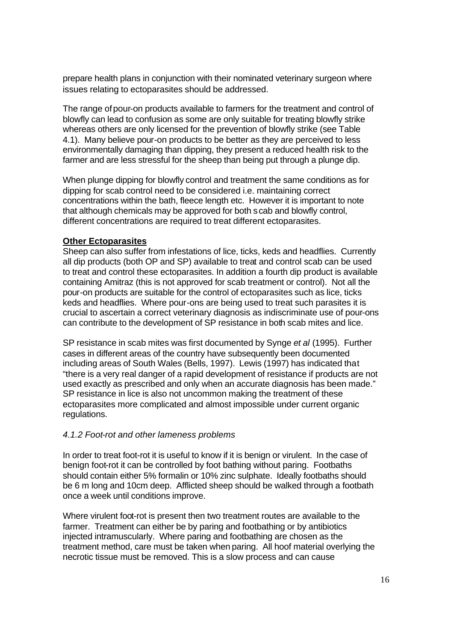prepare health plans in conjunction with their nominated veterinary surgeon where issues relating to ectoparasites should be addressed.

The range of pour-on products available to farmers for the treatment and control of blowfly can lead to confusion as some are only suitable for treating blowfly strike whereas others are only licensed for the prevention of blowfly strike (see Table 4.1). Many believe pour-on products to be better as they are perceived to less environmentally damaging than dipping, they present a reduced health risk to the farmer and are less stressful for the sheep than being put through a plunge dip.

When plunge dipping for blowfly control and treatment the same conditions as for dipping for scab control need to be considered i.e. maintaining correct concentrations within the bath, fleece length etc. However it is important to note that although chemicals may be approved for both scab and blowfly control, different concentrations are required to treat different ectoparasites.

#### **Other Ectoparasites**

Sheep can also suffer from infestations of lice, ticks, keds and headflies. Currently all dip products (both OP and SP) available to treat and control scab can be used to treat and control these ectoparasites. In addition a fourth dip product is available containing Amitraz (this is not approved for scab treatment or control). Not all the pour-on products are suitable for the control of ectoparasites such as lice, ticks keds and headflies. Where pour-ons are being used to treat such parasites it is crucial to ascertain a correct veterinary diagnosis as indiscriminate use of pour-ons can contribute to the development of SP resistance in both scab mites and lice.

SP resistance in scab mites was first documented by Synge *et al* (1995). Further cases in different areas of the country have subsequently been documented including areas of South Wales (Bells, 1997). Lewis (1997) has indicated that "there is a very real danger of a rapid development of resistance if products are not used exactly as prescribed and only when an accurate diagnosis has been made." SP resistance in lice is also not uncommon making the treatment of these ectoparasites more complicated and almost impossible under current organic regulations.

## *4.1.2 Foot-rot and other lameness problems*

In order to treat foot-rot it is useful to know if it is benign or virulent. In the case of benign foot-rot it can be controlled by foot bathing without paring. Footbaths should contain either 5% formalin or 10% zinc sulphate. Ideally footbaths should be 6 m long and 10cm deep. Afflicted sheep should be walked through a footbath once a week until conditions improve.

Where virulent foot-rot is present then two treatment routes are available to the farmer. Treatment can either be by paring and footbathing or by antibiotics injected intramuscularly. Where paring and footbathing are chosen as the treatment method, care must be taken when paring. All hoof material overlying the necrotic tissue must be removed. This is a slow process and can cause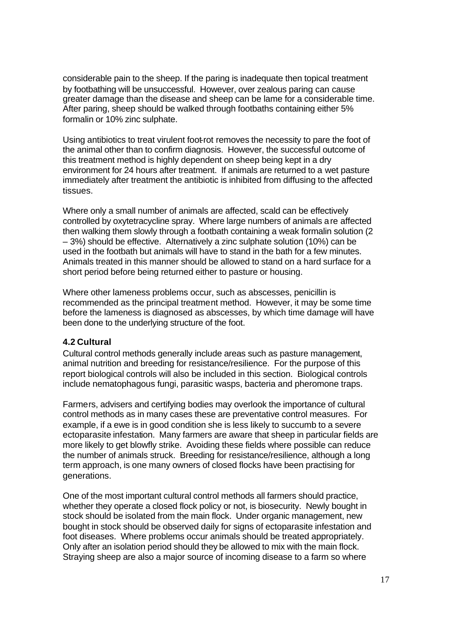considerable pain to the sheep. If the paring is inadequate then topical treatment by footbathing will be unsuccessful. However, over zealous paring can cause greater damage than the disease and sheep can be lame for a considerable time. After paring, sheep should be walked through footbaths containing either 5% formalin or 10% zinc sulphate.

Using antibiotics to treat virulent foot-rot removes the necessity to pare the foot of the animal other than to confirm diagnosis. However, the successful outcome of this treatment method is highly dependent on sheep being kept in a dry environment for 24 hours after treatment. If animals are returned to a wet pasture immediately after treatment the antibiotic is inhibited from diffusing to the affected tissues.

Where only a small number of animals are affected, scald can be effectively controlled by oxytetracycline spray. Where large numbers of animals are affected then walking them slowly through a footbath containing a weak formalin solution (2 – 3%) should be effective. Alternatively a zinc sulphate solution (10%) can be used in the footbath but animals will have to stand in the bath for a few minutes. Animals treated in this manner should be allowed to stand on a hard surface for a short period before being returned either to pasture or housing.

Where other lameness problems occur, such as abscesses, penicillin is recommended as the principal treatment method. However, it may be some time before the lameness is diagnosed as abscesses, by which time damage will have been done to the underlying structure of the foot.

#### **4.2 Cultural**

Cultural control methods generally include areas such as pasture management, animal nutrition and breeding for resistance/resilience. For the purpose of this report biological controls will also be included in this section. Biological controls include nematophagous fungi, parasitic wasps, bacteria and pheromone traps.

Farmers, advisers and certifying bodies may overlook the importance of cultural control methods as in many cases these are preventative control measures. For example, if a ewe is in good condition she is less likely to succumb to a severe ectoparasite infestation. Many farmers are aware that sheep in particular fields are more likely to get blowfly strike. Avoiding these fields where possible can reduce the number of animals struck. Breeding for resistance/resilience, although a long term approach, is one many owners of closed flocks have been practising for generations.

One of the most important cultural control methods all farmers should practice, whether they operate a closed flock policy or not, is biosecurity. Newly bought in stock should be isolated from the main flock. Under organic management, new bought in stock should be observed daily for signs of ectoparasite infestation and foot diseases. Where problems occur animals should be treated appropriately. Only after an isolation period should they be allowed to mix with the main flock. Straying sheep are also a major source of incoming disease to a farm so where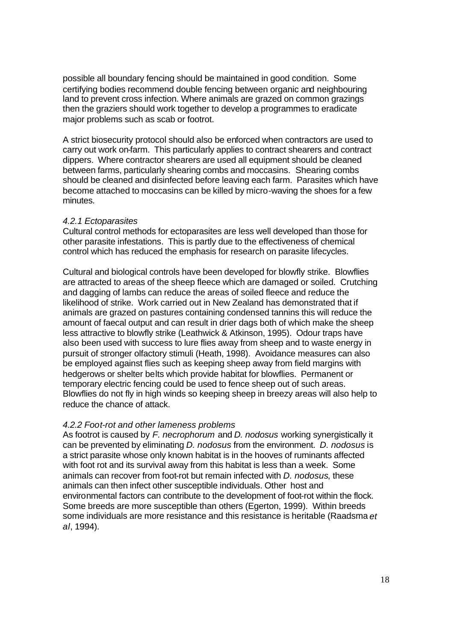possible all boundary fencing should be maintained in good condition. Some certifying bodies recommend double fencing between organic and neighbouring land to prevent cross infection. Where animals are grazed on common grazings then the graziers should work together to develop a programmes to eradicate major problems such as scab or footrot.

A strict biosecurity protocol should also be enforced when contractors are used to carry out work on-farm. This particularly applies to contract shearers and contract dippers. Where contractor shearers are used all equipment should be cleaned between farms, particularly shearing combs and moccasins. Shearing combs should be cleaned and disinfected before leaving each farm. Parasites which have become attached to moccasins can be killed by micro-waving the shoes for a few minutes.

#### *4.2.1 Ectoparasites*

Cultural control methods for ectoparasites are less well developed than those for other parasite infestations. This is partly due to the effectiveness of chemical control which has reduced the emphasis for research on parasite lifecycles.

Cultural and biological controls have been developed for blowfly strike. Blowflies are attracted to areas of the sheep fleece which are damaged or soiled. Crutching and dagging of lambs can reduce the areas of soiled fleece and reduce the likelihood of strike. Work carried out in New Zealand has demonstrated that if animals are grazed on pastures containing condensed tannins this will reduce the amount of faecal output and can result in drier dags both of which make the sheep less attractive to blowfly strike (Leathwick & Atkinson, 1995). Odour traps have also been used with success to lure flies away from sheep and to waste energy in pursuit of stronger olfactory stimuli (Heath, 1998). Avoidance measures can also be employed against flies such as keeping sheep away from field margins with hedgerows or shelter belts which provide habitat for blowflies. Permanent or temporary electric fencing could be used to fence sheep out of such areas. Blowflies do not fly in high winds so keeping sheep in breezy areas will also help to reduce the chance of attack.

#### *4.2.2 Foot-rot and other lameness problems*

As footrot is caused by *F. necrophorum* and *D. nodosus* working synergistically it can be prevented by eliminating *D. nodosus* from the environment. *D. nodosus* is a strict parasite whose only known habitat is in the hooves of ruminants affected with foot rot and its survival away from this habitat is less than a week. Some animals can recover from foot-rot but remain infected with *D. nodosus*, these animals can then infect other susceptible individuals. Other host and environmental factors can contribute to the development of foot-rot within the flock. Some breeds are more susceptible than others (Egerton, 1999). Within breeds some individuals are more resistance and this resistance is heritable (Raadsma *et al*, 1994).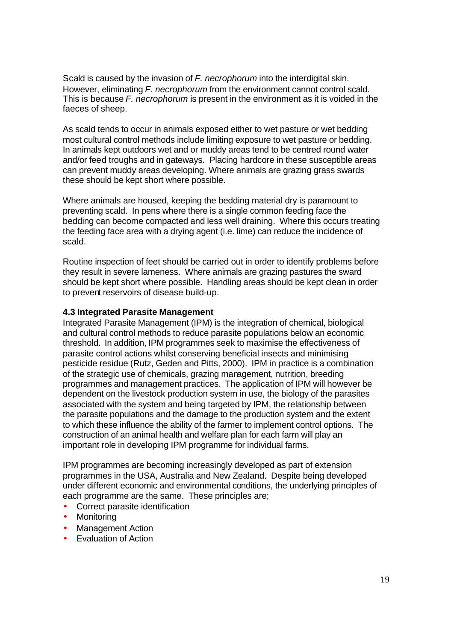Scald is caused by the invasion of *F. necrophorum* into the interdigital skin. However, eliminating *F. necrophorum* from the environment cannot control scald. This is because *F. necrophorum* is present in the environment as it is voided in the faeces of sheep.

As scald tends to occur in animals exposed either to wet pasture or wet bedding most cultural control methods include limiting exposure to wet pasture or bedding. In animals kept outdoors wet and or muddy areas tend to be centred round water and/or feed troughs and in gateways. Placing hardcore in these susceptible areas can prevent muddy areas developing. Where animals are grazing grass swards these should be kept short where possible.

Where animals are housed, keeping the bedding material dry is paramount to preventing scald. In pens where there is a single common feeding face the bedding can become compacted and less well draining. Where this occurs treating the feeding face area with a drying agent (i.e. lime) can reduce the incidence of scald.

Routine inspection of feet should be carried out in order to identify problems before they result in severe lameness. Where animals are grazing pastures the sward should be kept short where possible. Handling areas should be kept clean in order to prevent reservoirs of disease build-up.

#### **4.3 Integrated Parasite Management**

Integrated Parasite Management (IPM) is the integration of chemical, biological and cultural control methods to reduce parasite populations below an economic threshold. In addition, IPM programmes seek to maximise the effectiveness of parasite control actions whilst conserving beneficial insects and minimising pesticide residue (Rutz, Geden and Pitts, 2000). IPM in practice is a combination of the strategic use of chemicals, grazing management, nutrition, breeding programmes and management practices. The application of IPM will however be dependent on the livestock production system in use, the biology of the parasites associated with the system and being targeted by IPM, the relationship between the parasite populations and the damage to the production system and the extent to which these influence the ability of the farmer to implement control options. The construction of an animal health and welfare plan for each farm will play an important role in developing IPM programme for individual farms.

IPM programmes are becoming increasingly developed as part of extension programmes in the USA, Australia and New Zealand. Despite being developed under different economic and environmental conditions, the underlying principles of each programme are the same. These principles are;

- Correct parasite identification
- **Monitoring**
- Management Action
- Evaluation of Action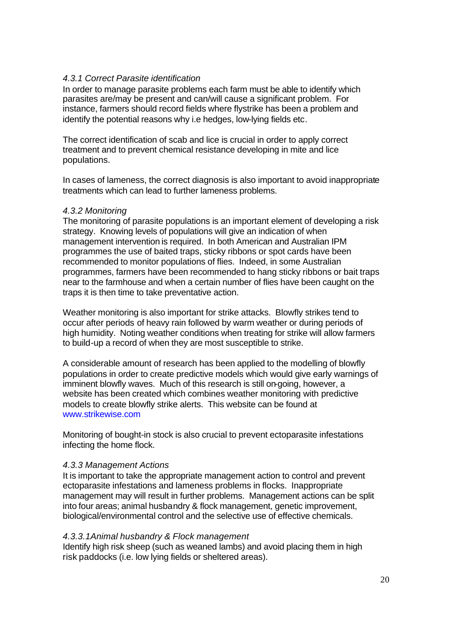#### *4.3.1 Correct Parasite identification*

In order to manage parasite problems each farm must be able to identify which parasites are/may be present and can/will cause a significant problem. For instance, farmers should record fields where flystrike has been a problem and identify the potential reasons why i.e hedges, low-lying fields etc.

The correct identification of scab and lice is crucial in order to apply correct treatment and to prevent chemical resistance developing in mite and lice populations.

In cases of lameness, the correct diagnosis is also important to avoid inappropriate treatments which can lead to further lameness problems.

#### *4.3.2 Monitoring*

The monitoring of parasite populations is an important element of developing a risk strategy. Knowing levels of populations will give an indication of when management intervention is required. In both American and Australian IPM programmes the use of baited traps, sticky ribbons or spot cards have been recommended to monitor populations of flies. Indeed, in some Australian programmes, farmers have been recommended to hang sticky ribbons or bait traps near to the farmhouse and when a certain number of flies have been caught on the traps it is then time to take preventative action.

Weather monitoring is also important for strike attacks. Blowfly strikes tend to occur after periods of heavy rain followed by warm weather or during periods of high humidity. Noting weather conditions when treating for strike will allow farmers to build-up a record of when they are most susceptible to strike.

A considerable amount of research has been applied to the modelling of blowfly populations in order to create predictive models which would give early warnings of imminent blowfly waves. Much of this research is still on-going, however, a website has been created which combines weather monitoring with predictive models to create blowfly strike alerts. This website can be found at www.strikewise.com

Monitoring of bought-in stock is also crucial to prevent ectoparasite infestations infecting the home flock.

#### *4.3.3 Management Actions*

It is important to take the appropriate management action to control and prevent ectoparasite infestations and lameness problems in flocks. Inappropriate management may will result in further problems. Management actions can be split into four areas; animal husbandry & flock management, genetic improvement, biological/environmental control and the selective use of effective chemicals.

#### *4.3.3.1Animal husbandry & Flock management*

Identify high risk sheep (such as weaned lambs) and avoid placing them in high risk paddocks (i.e. low lying fields or sheltered areas).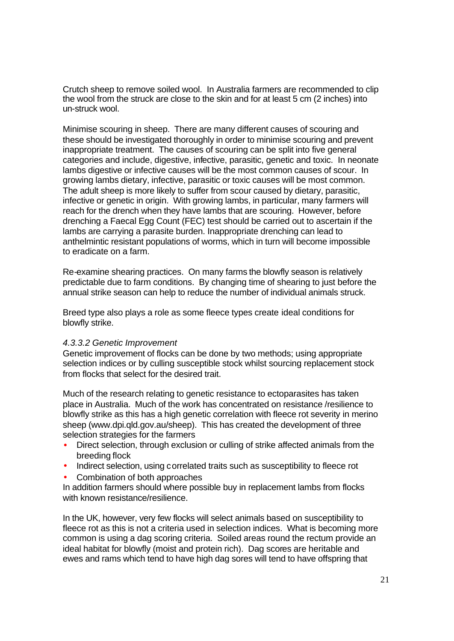Crutch sheep to remove soiled wool. In Australia farmers are recommended to clip the wool from the struck are close to the skin and for at least 5 cm (2 inches) into un-struck wool.

Minimise scouring in sheep. There are many different causes of scouring and these should be investigated thoroughly in order to minimise scouring and prevent inappropriate treatment. The causes of scouring can be split into five general categories and include, digestive, infective, parasitic, genetic and toxic. In neonate lambs digestive or infective causes will be the most common causes of scour. In growing lambs dietary, infective, parasitic or toxic causes will be most common. The adult sheep is more likely to suffer from scour caused by dietary, parasitic, infective or genetic in origin. With growing lambs, in particular, many farmers will reach for the drench when they have lambs that are scouring. However, before drenching a Faecal Egg Count (FEC) test should be carried out to ascertain if the lambs are carrying a parasite burden. Inappropriate drenching can lead to anthelmintic resistant populations of worms, which in turn will become impossible to eradicate on a farm.

Re-examine shearing practices. On many farms the blowfly season is relatively predictable due to farm conditions. By changing time of shearing to just before the annual strike season can help to reduce the number of individual animals struck.

Breed type also plays a role as some fleece types create ideal conditions for blowfly strike.

#### *4.3.3.2 Genetic Improvement*

Genetic improvement of flocks can be done by two methods; using appropriate selection indices or by culling susceptible stock whilst sourcing replacement stock from flocks that select for the desired trait.

Much of the research relating to genetic resistance to ectoparasites has taken place in Australia. Much of the work has concentrated on resistance /resilience to blowfly strike as this has a high genetic correlation with fleece rot severity in merino sheep (www.dpi.qld.gov.au/sheep). This has created the development of three selection strategies for the farmers

- Direct selection, through exclusion or culling of strike affected animals from the breeding flock
- Indirect selection, using correlated traits such as susceptibility to fleece rot
- Combination of both approaches

In addition farmers should where possible buy in replacement lambs from flocks with known resistance/resilience.

In the UK, however, very few flocks will select animals based on susceptibility to fleece rot as this is not a criteria used in selection indices. What is becoming more common is using a dag scoring criteria. Soiled areas round the rectum provide an ideal habitat for blowfly (moist and protein rich). Dag scores are heritable and ewes and rams which tend to have high dag sores will tend to have offspring that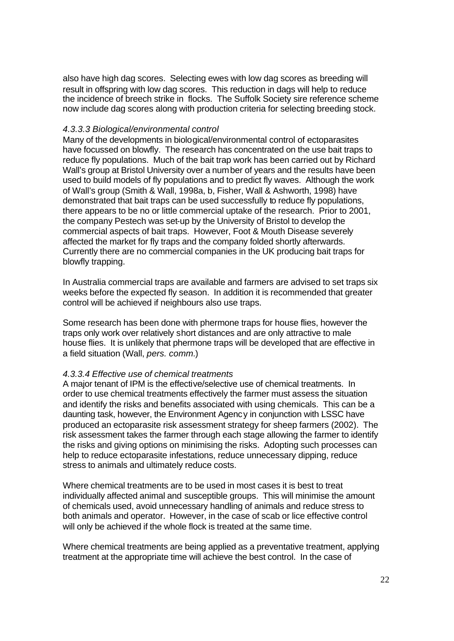also have high dag scores. Selecting ewes with low dag scores as breeding will result in offspring with low dag scores. This reduction in dags will help to reduce the incidence of breech strike in flocks. The Suffolk Society sire reference scheme now include dag scores along with production criteria for selecting breeding stock.

#### *4.3.3.3 Biological/environmental control*

Many of the developments in biological/environmental control of ectoparasites have focussed on blowfly. The research has concentrated on the use bait traps to reduce fly populations. Much of the bait trap work has been carried out by Richard Wall's group at Bristol University over a number of years and the results have been used to build models of fly populations and to predict fly waves. Although the work of Wall's group (Smith & Wall, 1998a, b, Fisher, Wall & Ashworth, 1998) have demonstrated that bait traps can be used successfully to reduce fly populations, there appears to be no or little commercial uptake of the research. Prior to 2001, the company Pestech was set-up by the University of Bristol to develop the commercial aspects of bait traps. However, Foot & Mouth Disease severely affected the market for fly traps and the company folded shortly afterwards. Currently there are no commercial companies in the UK producing bait traps for blowfly trapping.

In Australia commercial traps are available and farmers are advised to set traps six weeks before the expected fly season. In addition it is recommended that greater control will be achieved if neighbours also use traps.

Some research has been done with phermone traps for house flies, however the traps only work over relatively short distances and are only attractive to male house flies. It is unlikely that phermone traps will be developed that are effective in a field situation (Wall, *pers. comm.*)

#### *4.3.3.4 Effective use of chemical treatments*

A major tenant of IPM is the effective/selective use of chemical treatments. In order to use chemical treatments effectively the farmer must assess the situation and identify the risks and benefits associated with using chemicals. This can be a daunting task, however, the Environment Agency in conjunction with LSSC have produced an ectoparasite risk assessment strategy for sheep farmers (2002). The risk assessment takes the farmer through each stage allowing the farmer to identify the risks and giving options on minimising the risks. Adopting such processes can help to reduce ectoparasite infestations, reduce unnecessary dipping, reduce stress to animals and ultimately reduce costs.

Where chemical treatments are to be used in most cases it is best to treat individually affected animal and susceptible groups. This will minimise the amount of chemicals used, avoid unnecessary handling of animals and reduce stress to both animals and operator. However, in the case of scab or lice effective control will only be achieved if the whole flock is treated at the same time.

Where chemical treatments are being applied as a preventative treatment, applying treatment at the appropriate time will achieve the best control. In the case of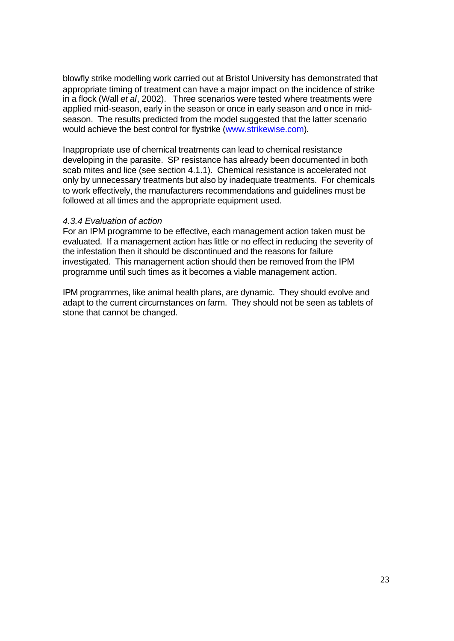blowfly strike modelling work carried out at Bristol University has demonstrated that appropriate timing of treatment can have a major impact on the incidence of strike in a flock (Wall *et al*, 2002). Three scenarios were tested where treatments were applied mid-season, early in the season or once in early season and once in midseason. The results predicted from the model suggested that the latter scenario would achieve the best control for flystrike (www.strikewise.com).

Inappropriate use of chemical treatments can lead to chemical resistance developing in the parasite. SP resistance has already been documented in both scab mites and lice (see section 4.1.1). Chemical resistance is accelerated not only by unnecessary treatments but also by inadequate treatments. For chemicals to work effectively, the manufacturers recommendations and guidelines must be followed at all times and the appropriate equipment used.

#### *4.3.4 Evaluation of action*

For an IPM programme to be effective, each management action taken must be evaluated. If a management action has little or no effect in reducing the severity of the infestation then it should be discontinued and the reasons for failure investigated. This management action should then be removed from the IPM programme until such times as it becomes a viable management action.

IPM programmes, like animal health plans, are dynamic. They should evolve and adapt to the current circumstances on farm. They should not be seen as tablets of stone that cannot be changed.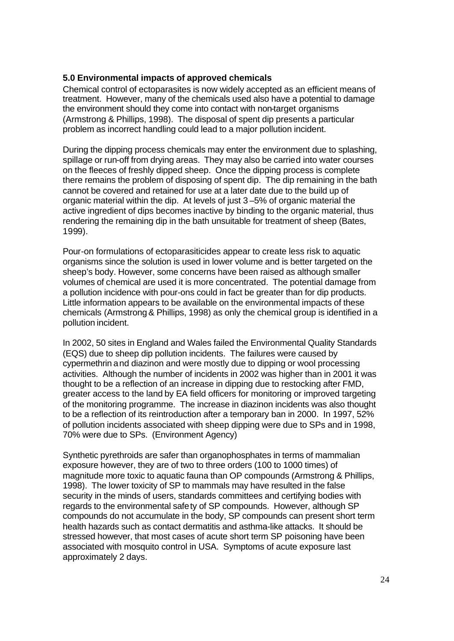#### **5.0 Environmental impacts of approved chemicals**

Chemical control of ectoparasites is now widely accepted as an efficient means of treatment. However, many of the chemicals used also have a potential to damage the environment should they come into contact with non-target organisms (Armstrong & Phillips, 1998). The disposal of spent dip presents a particular problem as incorrect handling could lead to a major pollution incident.

During the dipping process chemicals may enter the environment due to splashing, spillage or run-off from drying areas. They may also be carried into water courses on the fleeces of freshly dipped sheep. Once the dipping process is complete there remains the problem of disposing of spent dip. The dip remaining in the bath cannot be covered and retained for use at a later date due to the build up of organic material within the dip. At levels of just 3 –5% of organic material the active ingredient of dips becomes inactive by binding to the organic material, thus rendering the remaining dip in the bath unsuitable for treatment of sheep (Bates, 1999).

Pour-on formulations of ectoparasiticides appear to create less risk to aquatic organisms since the solution is used in lower volume and is better targeted on the sheep's body. However, some concerns have been raised as although smaller volumes of chemical are used it is more concentrated. The potential damage from a pollution incidence with pour-ons could in fact be greater than for dip products. Little information appears to be available on the environmental impacts of these chemicals (Armstrong & Phillips, 1998) as only the chemical group is identified in a pollution incident.

In 2002, 50 sites in England and Wales failed the Environmental Quality Standards (EQS) due to sheep dip pollution incidents. The failures were caused by cypermethrin and diazinon and were mostly due to dipping or wool processing activities. Although the number of incidents in 2002 was higher than in 2001 it was thought to be a reflection of an increase in dipping due to restocking after FMD, greater access to the land by EA field officers for monitoring or improved targeting of the monitoring programme. The increase in diazinon incidents was also thought to be a reflection of its reintroduction after a temporary ban in 2000. In 1997, 52% of pollution incidents associated with sheep dipping were due to SPs and in 1998, 70% were due to SPs. (Environment Agency)

Synthetic pyrethroids are safer than organophosphates in terms of mammalian exposure however, they are of two to three orders (100 to 1000 times) of magnitude more toxic to aquatic fauna than OP compounds (Armstrong & Phillips, 1998). The lower toxicity of SP to mammals may have resulted in the false security in the minds of users, standards committees and certifying bodies with regards to the environmental safety of SP compounds. However, although SP compounds do not accumulate in the body, SP compounds can present short term health hazards such as contact dermatitis and asthma-like attacks. It should be stressed however, that most cases of acute short term SP poisoning have been associated with mosquito control in USA. Symptoms of acute exposure last approximately 2 days.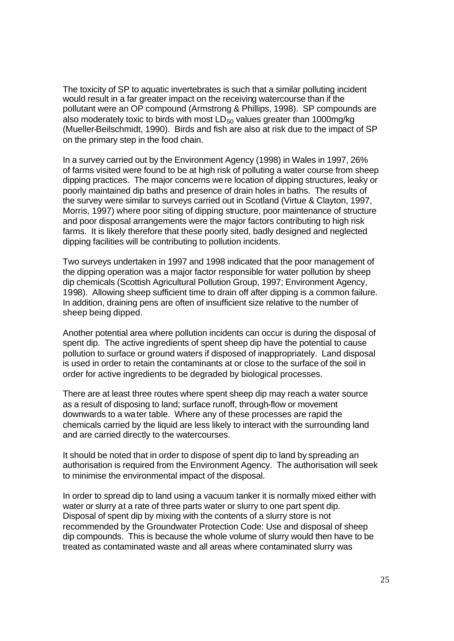The toxicity of SP to aquatic invertebrates is such that a similar polluting incident would result in a far greater impact on the receiving watercourse than if the pollutant were an OP compound (Armstrong & Phillips, 1998). SP compounds are also moderately toxic to birds with most  $LD_{50}$  values greater than 1000mg/kg (Mueller-Beilschmidt, 1990). Birds and fish are also at risk due to the impact of SP on the primary step in the food chain.

In a survey carried out by the Environment Agency (1998) in Wales in 1997, 26% of farms visited were found to be at high risk of polluting a water course from sheep dipping practices. The major concerns were location of dipping structures, leaky or poorly maintained dip baths and presence of drain holes in baths. The results of the survey were similar to surveys carried out in Scotland (Virtue & Clayton, 1997, Morris, 1997) where poor siting of dipping structure, poor maintenance of structure and poor disposal arrangements were the major factors contributing to high risk farms. It is likely therefore that these poorly sited, badly designed and neglected dipping facilities will be contributing to pollution incidents.

Two surveys undertaken in 1997 and 1998 indicated that the poor management of the dipping operation was a major factor responsible for water pollution by sheep dip chemicals (Scottish Agricultural Pollution Group, 1997; Environment Agency, 1998). Allowing sheep sufficient time to drain off after dipping is a common failure. In addition, draining pens are often of insufficient size relative to the number of sheep being dipped.

Another potential area where pollution incidents can occur is during the disposal of spent dip. The active ingredients of spent sheep dip have the potential to cause pollution to surface or ground waters if disposed of inappropriately. Land disposal is used in order to retain the contaminants at or close to the surface of the soil in order for active ingredients to be degraded by biological processes.

There are at least three routes where spent sheep dip may reach a water source as a result of disposing to land; surface runoff, through-flow or movement downwards to a water table. Where any of these processes are rapid the chemicals carried by the liquid are less likely to interact with the surrounding land and are carried directly to the watercourses.

It should be noted that in order to dispose of spent dip to land by spreading an authorisation is required from the Environment Agency. The authorisation will seek to minimise the environmental impact of the disposal.

In order to spread dip to land using a vacuum tanker it is normally mixed either with water or slurry at a rate of three parts water or slurry to one part spent dip. Disposal of spent dip by mixing with the contents of a slurry store is not recommended by the Groundwater Protection Code: Use and disposal of sheep dip compounds. This is because the whole volume of slurry would then have to be treated as contaminated waste and all areas where contaminated slurry was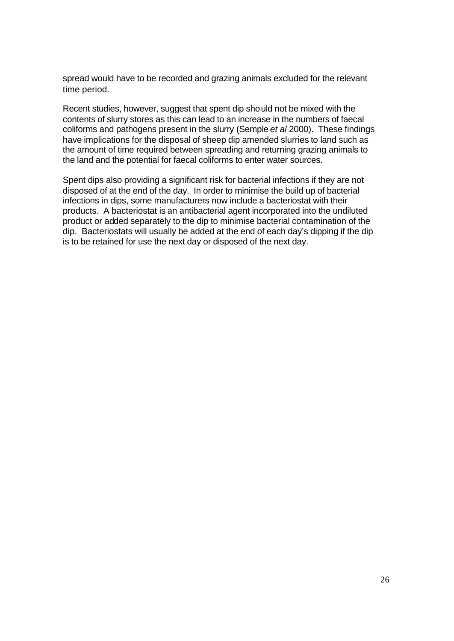spread would have to be recorded and grazing animals excluded for the relevant time period.

Recent studies, however, suggest that spent dip should not be mixed with the contents of slurry stores as this can lead to an increase in the numbers of faecal coliforms and pathogens present in the slurry (Semple *et al* 2000). These findings have implications for the disposal of sheep dip amended slurries to land such as the amount of time required between spreading and returning grazing animals to the land and the potential for faecal coliforms to enter water sources.

Spent dips also providing a significant risk for bacterial infections if they are not disposed of at the end of the day. In order to minimise the build up of bacterial infections in dips, some manufacturers now include a bacteriostat with their products. A bacteriostat is an antibacterial agent incorporated into the undiluted product or added separately to the dip to minimise bacterial contamination of the dip. Bacteriostats will usually be added at the end of each day's dipping if the dip is to be retained for use the next day or disposed of the next day.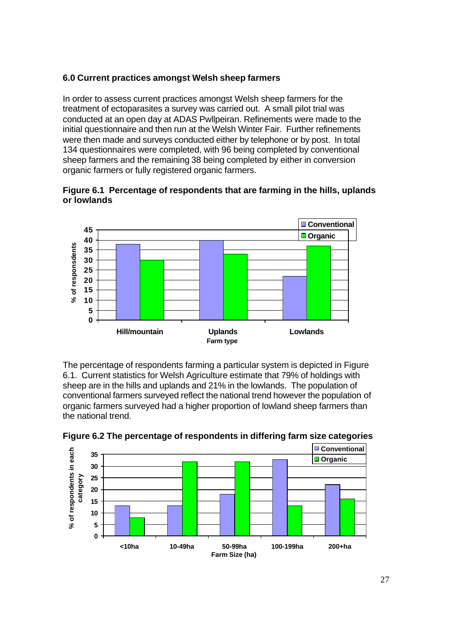## **6.0 Current practices amongst Welsh sheep farmers**

In order to assess current practices amongst Welsh sheep farmers for the treatment of ectoparasites a survey was carried out. A small pilot trial was conducted at an open day at ADAS Pwllpeiran. Refinements were made to the initial questionnaire and then run at the Welsh Winter Fair. Further refinements were then made and surveys conducted either by telephone or by post. In total 134 questionnaires were completed, with 96 being completed by conventional sheep farmers and the remaining 38 being completed by either in conversion organic farmers or fully registered organic farmers.





The percentage of respondents farming a particular system is depicted in Figure 6.1. Current statistics for Welsh Agriculture estimate that 79% of holdings with sheep are in the hills and uplands and 21% in the lowlands. The population of conventional farmers surveyed reflect the national trend however the population of organic farmers surveyed had a higher proportion of lowland sheep farmers than the national trend.



**Figure 6.2 The percentage of respondents in differing farm size categories**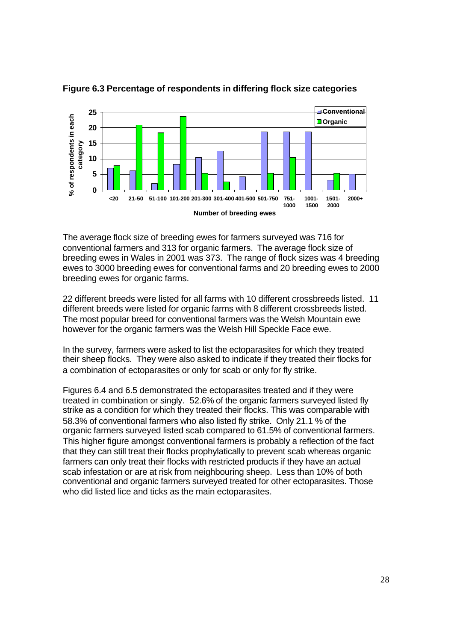

**Figure 6.3 Percentage of respondents in differing flock size categories**

The average flock size of breeding ewes for farmers surveyed was 716 for conventional farmers and 313 for organic farmers. The average flock size of breeding ewes in Wales in 2001 was 373. The range of flock sizes was 4 breeding ewes to 3000 breeding ewes for conventional farms and 20 breeding ewes to 2000 breeding ewes for organic farms.

22 different breeds were listed for all farms with 10 different crossbreeds listed. 11 different breeds were listed for organic farms with 8 different crossbreeds listed. The most popular breed for conventional farmers was the Welsh Mountain ewe however for the organic farmers was the Welsh Hill Speckle Face ewe.

In the survey, farmers were asked to list the ectoparasites for which they treated their sheep flocks. They were also asked to indicate if they treated their flocks for a combination of ectoparasites or only for scab or only for fly strike.

Figures 6.4 and 6.5 demonstrated the ectoparasites treated and if they were treated in combination or singly. 52.6% of the organic farmers surveyed listed fly strike as a condition for which they treated their flocks. This was comparable with 58.3% of conventional farmers who also listed fly strike. Only 21.1 % of the organic farmers surveyed listed scab compared to 61.5% of conventional farmers. This higher figure amongst conventional farmers is probably a reflection of the fact that they can still treat their flocks prophylatically to prevent scab whereas organic farmers can only treat their flocks with restricted products if they have an actual scab infestation or are at risk from neighbouring sheep. Less than 10% of both conventional and organic farmers surveyed treated for other ectoparasites. Those who did listed lice and ticks as the main ectoparasites.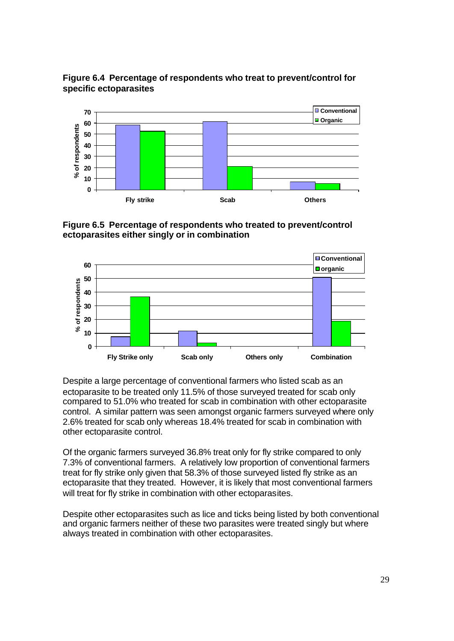**Figure 6.4 Percentage of respondents who treat to prevent/control for specific ectoparasites**



**Figure 6.5 Percentage of respondents who treated to prevent/control ectoparasites either singly or in combination**



Despite a large percentage of conventional farmers who listed scab as an ectoparasite to be treated only 11.5% of those surveyed treated for scab only compared to 51.0% who treated for scab in combination with other ectoparasite control. A similar pattern was seen amongst organic farmers surveyed where only 2.6% treated for scab only whereas 18.4% treated for scab in combination with other ectoparasite control.

Of the organic farmers surveyed 36.8% treat only for fly strike compared to only 7.3% of conventional farmers. A relatively low proportion of conventional farmers treat for fly strike only given that 58.3% of those surveyed listed fly strike as an ectoparasite that they treated. However, it is likely that most conventional farmers will treat for fly strike in combination with other ectoparasites.

Despite other ectoparasites such as lice and ticks being listed by both conventional and organic farmers neither of these two parasites were treated singly but where always treated in combination with other ectoparasites.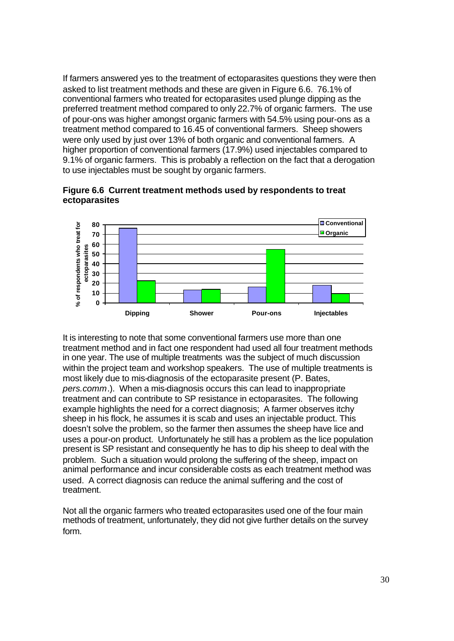If farmers answered yes to the treatment of ectoparasites questions they were then asked to list treatment methods and these are given in Figure 6.6. 76.1% of conventional farmers who treated for ectoparasites used plunge dipping as the preferred treatment method compared to only 22.7% of organic farmers. The use of pour-ons was higher amongst organic farmers with 54.5% using pour-ons as a treatment method compared to 16.45 of conventional farmers. Sheep showers were only used by just over 13% of both organic and conventional farmers. A higher proportion of conventional farmers (17.9%) used injectables compared to 9.1% of organic farmers. This is probably a reflection on the fact that a derogation to use injectables must be sought by organic farmers.



**Figure 6.6 Current treatment methods used by respondents to treat ectoparasites**

It is interesting to note that some conventional farmers use more than one treatment method and in fact one respondent had used all four treatment methods in one year. The use of multiple treatments was the subject of much discussion within the project team and workshop speakers. The use of multiple treatments is most likely due to mis-diagnosis of the ectoparasite present (P. Bates, *pers.comm*.). When a mis-diagnosis occurs this can lead to inappropriate treatment and can contribute to SP resistance in ectoparasites. The following example highlights the need for a correct diagnosis; A farmer observes itchy sheep in his flock, he assumes it is scab and uses an injectable product. This doesn't solve the problem, so the farmer then assumes the sheep have lice and uses a pour-on product. Unfortunately he still has a problem as the lice population present is SP resistant and consequently he has to dip his sheep to deal with the problem. Such a situation would prolong the suffering of the sheep, impact on animal performance and incur considerable costs as each treatment method was used. A correct diagnosis can reduce the animal suffering and the cost of treatment.

Not all the organic farmers who treated ectoparasites used one of the four main methods of treatment, unfortunately, they did not give further details on the survey form.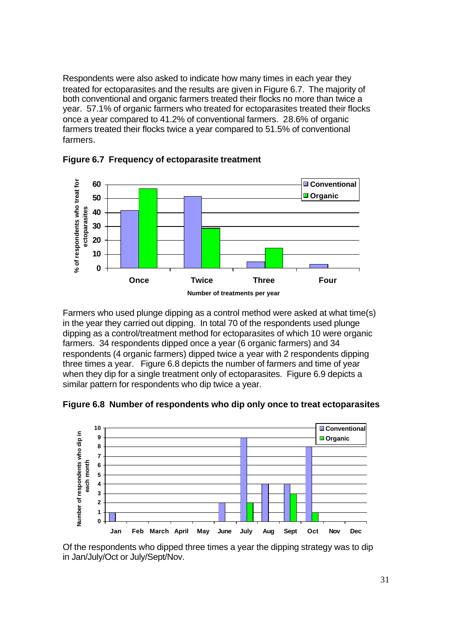Respondents were also asked to indicate how many times in each year they treated for ectoparasites and the results are given in Figure 6.7. The majority of both conventional and organic farmers treated their flocks no more than twice a year. 57.1% of organic farmers who treated for ectoparasites treated their flocks once a year compared to 41.2% of conventional farmers. 28.6% of organic farmers treated their flocks twice a year compared to 51.5% of conventional farmers.



**Figure 6.7 Frequency of ectoparasite treatment**

Farmers who used plunge dipping as a control method were asked at what time(s) in the year they carried out dipping. In total 70 of the respondents used plunge dipping as a control/treatment method for ectoparasites of which 10 were organic farmers. 34 respondents dipped once a year (6 organic farmers) and 34 respondents (4 organic farmers) dipped twice a year with 2 respondents dipping three times a year. Figure 6.8 depicts the number of farmers and time of year when they dip for a single treatment only of ectoparasites. Figure 6.9 depicts a similar pattern for respondents who dip twice a year.

**Figure 6.8 Number of respondents who dip only once to treat ectoparasites**



Of the respondents who dipped three times a year the dipping strategy was to dip in Jan/July/Oct or July/Sept/Nov.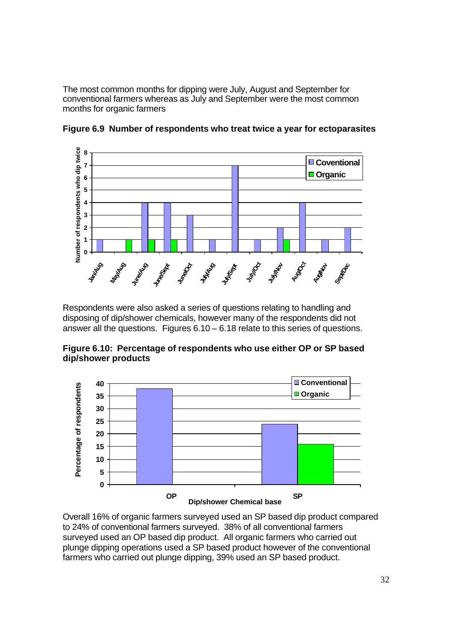The most common months for dipping were July, August and September for conventional farmers whereas as July and September were the most common months for organic farmers



**Figure 6.9 Number of respondents who treat twice a year for ectoparasites**

Respondents were also asked a series of questions relating to handling and disposing of dip/shower chemicals, however many of the respondents did not answer all the questions. Figures 6.10 – 6.18 relate to this series of questions.

**Figure 6.10: Percentage of respondents who use either OP or SP based dip/shower products**



Overall 16% of organic farmers surveyed used an SP based dip product compared to 24% of conventional farmers surveyed. 38% of all conventional farmers surveyed used an OP based dip product. All organic farmers who carried out plunge dipping operations used a SP based product however of the conventional farmers who carried out plunge dipping, 39% used an SP based product.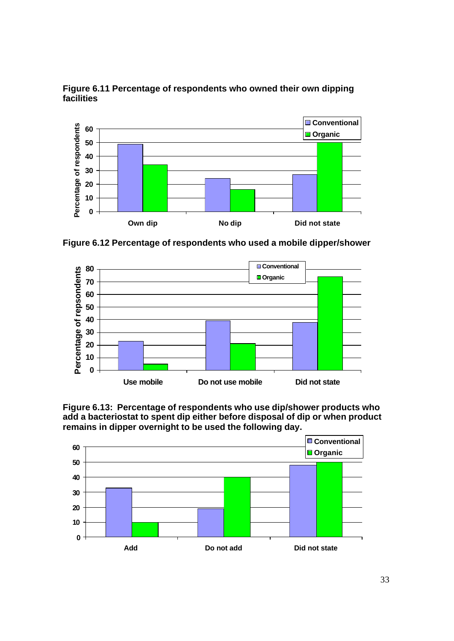

**Figure 6.11 Percentage of respondents who owned their own dipping facilities**

**Figure 6.12 Percentage of respondents who used a mobile dipper/shower**





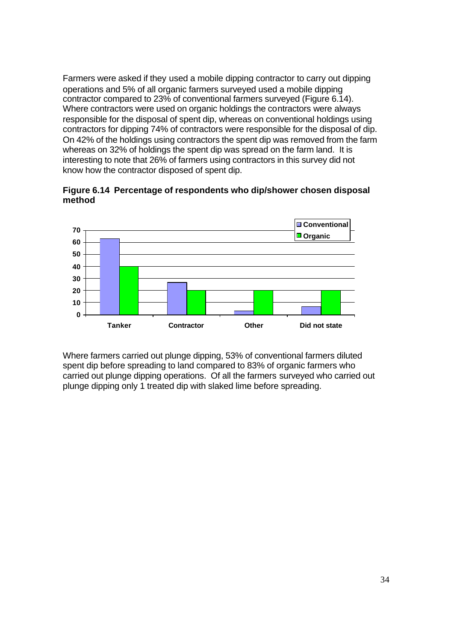Farmers were asked if they used a mobile dipping contractor to carry out dipping operations and 5% of all organic farmers surveyed used a mobile dipping contractor compared to 23% of conventional farmers surveyed (Figure 6.14). Where contractors were used on organic holdings the contractors were always responsible for the disposal of spent dip, whereas on conventional holdings using contractors for dipping 74% of contractors were responsible for the disposal of dip. On 42% of the holdings using contractors the spent dip was removed from the farm whereas on 32% of holdings the spent dip was spread on the farm land. It is interesting to note that 26% of farmers using contractors in this survey did not know how the contractor disposed of spent dip.

**Figure 6.14 Percentage of respondents who dip/shower chosen disposal method**



Where farmers carried out plunge dipping, 53% of conventional farmers diluted spent dip before spreading to land compared to 83% of organic farmers who carried out plunge dipping operations. Of all the farmers surveyed who carried out plunge dipping only 1 treated dip with slaked lime before spreading.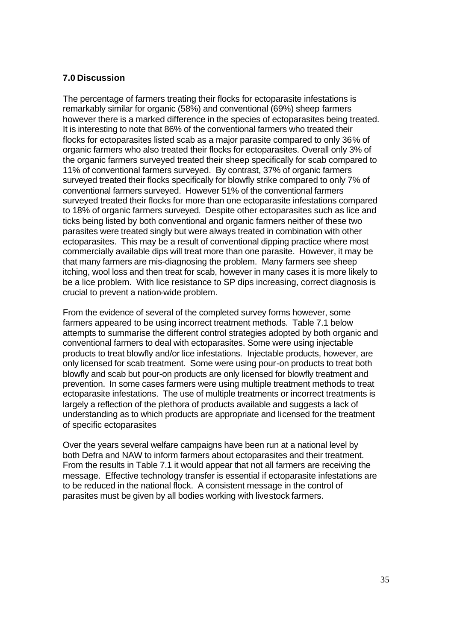#### **7.0 Discussion**

The percentage of farmers treating their flocks for ectoparasite infestations is remarkably similar for organic (58%) and conventional (69%) sheep farmers however there is a marked difference in the species of ectoparasites being treated. It is interesting to note that 86% of the conventional farmers who treated their flocks for ectoparasites listed scab as a major parasite compared to only 36% of organic farmers who also treated their flocks for ectoparasites. Overall only 3% of the organic farmers surveyed treated their sheep specifically for scab compared to 11% of conventional farmers surveyed. By contrast, 37% of organic farmers surveyed treated their flocks specifically for blowfly strike compared to only 7% of conventional farmers surveyed. However 51% of the conventional farmers surveyed treated their flocks for more than one ectoparasite infestations compared to 18% of organic farmers surveyed. Despite other ectoparasites such as lice and ticks being listed by both conventional and organic farmers neither of these two parasites were treated singly but were always treated in combination with other ectoparasites. This may be a result of conventional dipping practice where most commercially available dips will treat more than one parasite. However, it may be that many farmers are mis-diagnosing the problem. Many farmers see sheep itching, wool loss and then treat for scab, however in many cases it is more likely to be a lice problem. With lice resistance to SP dips increasing, correct diagnosis is crucial to prevent a nation-wide problem.

From the evidence of several of the completed survey forms however, some farmers appeared to be using incorrect treatment methods. Table 7.1 below attempts to summarise the different control strategies adopted by both organic and conventional farmers to deal with ectoparasites. Some were using injectable products to treat blowfly and/or lice infestations. Injectable products, however, are only licensed for scab treatment. Some were using pour-on products to treat both blowfly and scab but pour-on products are only licensed for blowfly treatment and prevention. In some cases farmers were using multiple treatment methods to treat ectoparasite infestations. The use of multiple treatments or incorrect treatments is largely a reflection of the plethora of products available and suggests a lack of understanding as to which products are appropriate and licensed for the treatment of specific ectoparasites

Over the years several welfare campaigns have been run at a national level by both Defra and NAW to inform farmers about ectoparasites and their treatment. From the results in Table 7.1 it would appear that not all farmers are receiving the message. Effective technology transfer is essential if ectoparasite infestations are to be reduced in the national flock. A consistent message in the control of parasites must be given by all bodies working with livestock farmers.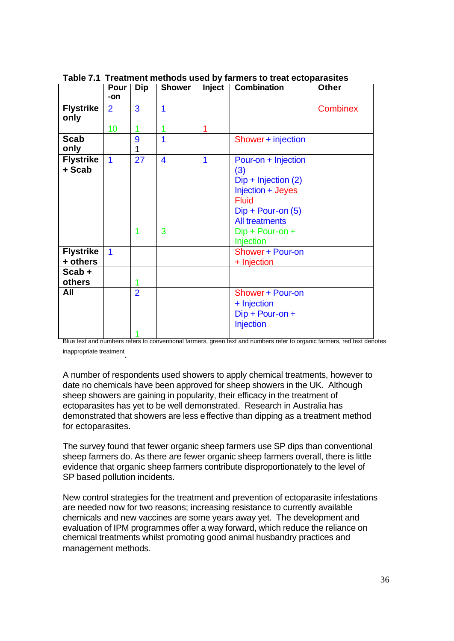|                              | Pour  <br>-on           | <b>Dip</b>          | <b>Shower</b>                | <b>Inject</b> | <b>Combination</b>                                                                                                                                                              | Other           |
|------------------------------|-------------------------|---------------------|------------------------------|---------------|---------------------------------------------------------------------------------------------------------------------------------------------------------------------------------|-----------------|
| <b>Flystrike</b><br>only     | $\overline{2}$          | 3                   | 1                            |               |                                                                                                                                                                                 | <b>Combinex</b> |
|                              | 10                      | 1                   |                              | 1             |                                                                                                                                                                                 |                 |
| <b>Scab</b><br>only          |                         | 9<br>1              | 1                            |               | Shower + injection                                                                                                                                                              |                 |
| <b>Flystrike</b><br>+ Scab   | 1                       | 27<br>1             | $\overline{\mathbf{4}}$<br>3 | 1             | Pour-on + Injection<br>(3)<br>$Dip + Injection (2)$<br>Injection + Jeyes<br><b>Fluid</b><br>$Dip + Pour-on (5)$<br><b>All treatments</b><br>Dip + Pour-on +<br><b>Injection</b> |                 |
| <b>Flystrike</b><br>+ others | $\overline{\mathbf{1}}$ |                     |                              |               | <b>Shower + Pour-on</b><br>+ Injection                                                                                                                                          |                 |
| $Scab +$<br>others           |                         |                     |                              |               |                                                                                                                                                                                 |                 |
| All                          |                         | $\overline{2}$<br>4 |                              |               | <b>Shower + Pour-on</b><br>+ Injection<br>$Dip + Pour-on +$<br>Injection                                                                                                        |                 |

**Table 7.1 Treatment methods used by farmers to treat ectoparasites** 

Blue text and numbers refers to conventional farmers, green text and numbers refer to organic farmers, red text denotes inappropriate treatment .

A number of respondents used showers to apply chemical treatments, however to date no chemicals have been approved for sheep showers in the UK. Although sheep showers are gaining in popularity, their efficacy in the treatment of ectoparasites has yet to be well demonstrated. Research in Australia has demonstrated that showers are less effective than dipping as a treatment method for ectoparasites.

The survey found that fewer organic sheep farmers use SP dips than conventional sheep farmers do. As there are fewer organic sheep farmers overall, there is little evidence that organic sheep farmers contribute disproportionately to the level of SP based pollution incidents.

New control strategies for the treatment and prevention of ectoparasite infestations are needed now for two reasons; increasing resistance to currently available chemicals and new vaccines are some years away yet. The development and evaluation of IPM programmes offer a way forward, which reduce the reliance on chemical treatments whilst promoting good animal husbandry practices and management methods.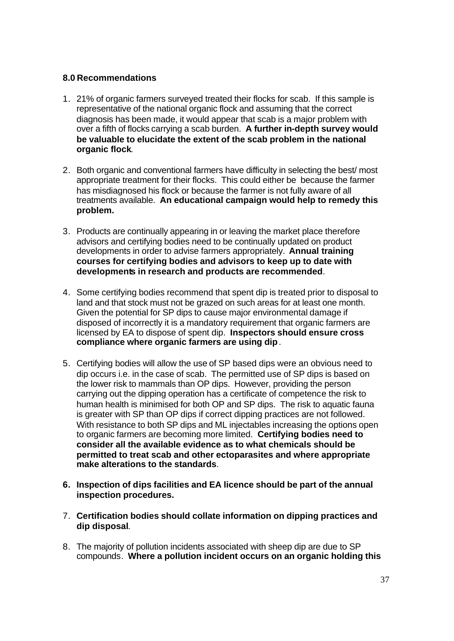#### **8.0 Recommendations**

- 1. 21% of organic farmers surveyed treated their flocks for scab. If this sample is representative of the national organic flock and assuming that the correct diagnosis has been made, it would appear that scab is a major problem with over a fifth of flocks carrying a scab burden. **A further in-depth survey would be valuable to elucidate the extent of the scab problem in the national organic flock**.
- 2. Both organic and conventional farmers have difficulty in selecting the best/ most appropriate treatment for their flocks. This could either be because the farmer has misdiagnosed his flock or because the farmer is not fully aware of all treatments available. **An educational campaign would help to remedy this problem.**
- 3. Products are continually appearing in or leaving the market place therefore advisors and certifying bodies need to be continually updated on product developments in order to advise farmers appropriately. **Annual training courses for certifying bodies and advisors to keep up to date with developments in research and products are recommended**.
- 4. Some certifying bodies recommend that spent dip is treated prior to disposal to land and that stock must not be grazed on such areas for at least one month. Given the potential for SP dips to cause major environmental damage if disposed of incorrectly it is a mandatory requirement that organic farmers are licensed by EA to dispose of spent dip. **Inspectors should ensure cross compliance where organic farmers are using dip**.
- 5. Certifying bodies will allow the use of SP based dips were an obvious need to dip occurs i.e. in the case of scab. The permitted use of SP dips is based on the lower risk to mammals than OP dips. However, providing the person carrying out the dipping operation has a certificate of competence the risk to human health is minimised for both OP and SP dips. The risk to aquatic fauna is greater with SP than OP dips if correct dipping practices are not followed. With resistance to both SP dips and ML injectables increasing the options open to organic farmers are becoming more limited. **Certifying bodies need to consider all the available evidence as to what chemicals should be permitted to treat scab and other ectoparasites and where appropriate make alterations to the standards**.
- **6. Inspection of dips facilities and EA licence should be part of the annual inspection procedures.**
- 7. **Certification bodies should collate information on dipping practices and dip disposal**.
- 8. The majority of pollution incidents associated with sheep dip are due to SP compounds. **Where a pollution incident occurs on an organic holding this**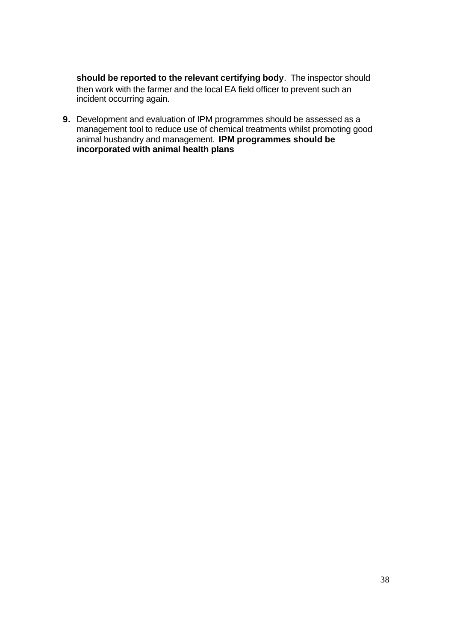**should be reported to the relevant certifying body**. The inspector should then work with the farmer and the local EA field officer to prevent such an incident occurring again.

**9.** Development and evaluation of IPM programmes should be assessed as a management tool to reduce use of chemical treatments whilst promoting good animal husbandry and management. **IPM programmes should be incorporated with animal health plans**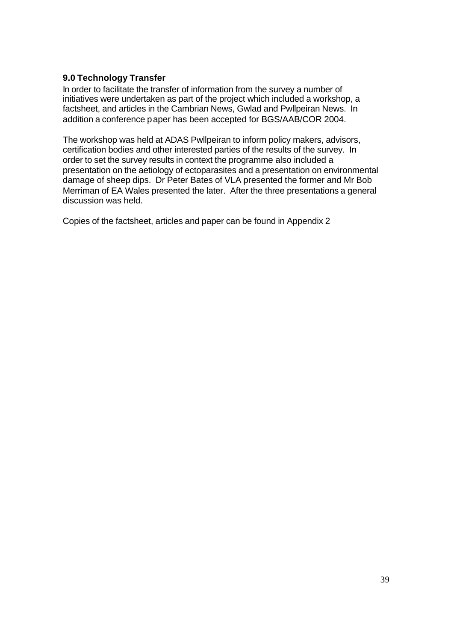## **9.0 Technology Transfer**

In order to facilitate the transfer of information from the survey a number of initiatives were undertaken as part of the project which included a workshop, a factsheet, and articles in the Cambrian News, Gwlad and Pwllpeiran News. In addition a conference paper has been accepted for BGS/AAB/COR 2004.

The workshop was held at ADAS Pwllpeiran to inform policy makers, advisors, certification bodies and other interested parties of the results of the survey. In order to set the survey results in context the programme also included a presentation on the aetiology of ectoparasites and a presentation on environmental damage of sheep dips. Dr Peter Bates of VLA presented the former and Mr Bob Merriman of EA Wales presented the later. After the three presentations a general discussion was held.

Copies of the factsheet, articles and paper can be found in Appendix 2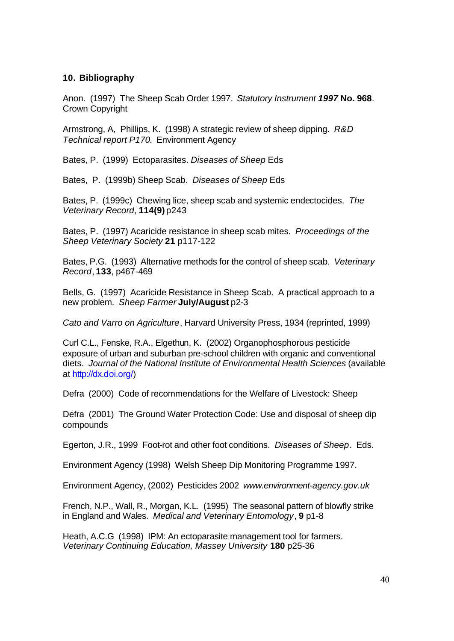#### **10. Bibliography**

Anon. (1997) The Sheep Scab Order 1997. *Statutory Instrument 1997* **No. 968**. Crown Copyright

Armstrong, A, Phillips, K. (1998) A strategic review of sheep dipping. *R&D Technical report P170*. Environment Agency

Bates, P. (1999) Ectoparasites. *Diseases of Sheep* Eds

Bates, P. (1999b) Sheep Scab. *Diseases of Sheep* Eds

Bates, P. (1999c) Chewing lice, sheep scab and systemic endectocides. *The Veterinary Record*, **114(9)** p243

Bates, P. (1997) Acaricide resistance in sheep scab mites. *Proceedings of the Sheep Veterinary Society* **21** p117-122

Bates, P.G. (1993) Alternative methods for the control of sheep scab. *Veterinary Record*, **133**, p467-469

Bells, G. (1997) Acaricide Resistance in Sheep Scab. A practical approach to a new problem. *Sheep Farmer* **July/August** p2-3

*Cato and Varro on Agriculture*, Harvard University Press, 1934 (reprinted, 1999)

Curl C.L., Fenske, R.A., Elgethun, K. (2002) Organophosphorous pesticide exposure of urban and suburban pre-school children with organic and conventional diets. *Journal of the National Institute of Environmental Health Sciences* (available at http://dx.doi.org/)

Defra (2000) Code of recommendations for the Welfare of Livestock: Sheep

Defra (2001) The Ground Water Protection Code: Use and disposal of sheep dip compounds

Egerton, J.R., 1999 Foot-rot and other foot conditions. *Diseases of Sheep*. Eds.

Environment Agency (1998) Welsh Sheep Dip Monitoring Programme 1997.

Environment Agency, (2002) Pesticides 2002 *www.environment-agency.gov.uk*

French, N.P., Wall, R., Morgan, K.L. (1995) The seasonal pattern of blowfly strike in England and Wales. *Medical and Veterinary Entomology*, **9** p1-8

Heath, A.C.G (1998) IPM: An ectoparasite management tool for farmers. *Veterinary Continuing Education, Massey University* **180** p25-36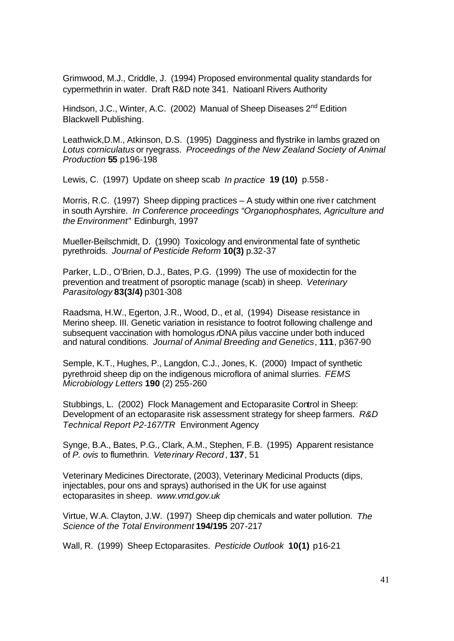Grimwood, M.J., Criddle, J. (1994) Proposed environmental quality standards for cypermethrin in water. Draft R&D note 341. Natioanl Rivers Authority

Hindson, J.C., Winter, A.C. (2002) Manual of Sheep Diseases 2<sup>nd</sup> Edition Blackwell Publishing.

Leathwick,D.M., Atkinson, D.S. (1995) Dagginess and flystrike in lambs grazed on *Lotus corniculatus* or ryegrass. *Proceedings of the New Zealand Society of Animal Production* **55** p196-198

Lewis, C. (1997) Update on sheep scab *In practice* **19 (10)** p.558 -

Morris, R.C. (1997) Sheep dipping practices – A study within one river catchment in south Ayrshire. *In Conference proceedings "Organophosphates, Agriculture and the Environment"* Edinburgh, 1997

Mueller-Beilschmidt, D. (1990) Toxicology and environmental fate of synthetic pyrethroids. *Journal of Pesticide Reform* **10(3)** p.32-37

Parker, L.D., O'Brien, D.J., Bates, P.G. (1999) The use of moxidectin for the prevention and treatment of psoroptic manage (scab) in sheep. *Veterinary Parasitology* **83(3/4)** p301-308

Raadsma, H.W., Egerton, J.R., Wood, D., et al, (1994) Disease resistance in Merino sheep. III. Genetic variation in resistance to footrot following challenge and subsequent vaccination with homologus *r*DNA pilus vaccine under both induced and natural conditions. *Journal of Animal Breeding and Genetics*, **111**, p367-90

Semple, K.T., Hughes, P., Langdon, C.J., Jones, K. (2000) Impact of synthetic pyrethroid sheep dip on the indigenous microflora of animal slurries. *FEMS Microbiology Letters* **190** (2) 255-260

Stubbings, L. (2002) Flock Management and Ectoparasite Control in Sheep: Development of an ectoparasite risk assessment strategy for sheep farmers. *R&D Technical Report P2-167/TR* Environment Agency

Synge, B.A., Bates, P.G., Clark, A.M., Stephen, F.B. (1995) Apparent resistance of *P. ovis* to flumethrin. *Veterinary Record*, **137**, 51

Veterinary Medicines Directorate, (2003), Veterinary Medicinal Products (dips, injectables, pour ons and sprays) authorised in the UK for use against ectoparasites in sheep. *www.vmd.gov.uk*

Virtue, W.A. Clayton, J.W. (1997) Sheep dip chemicals and water pollution. *The Science of the Total Environment* **194/195** 207-217

Wall, R. (1999) Sheep Ectoparasites. *Pesticide Outlook* **10(1)** p16-21